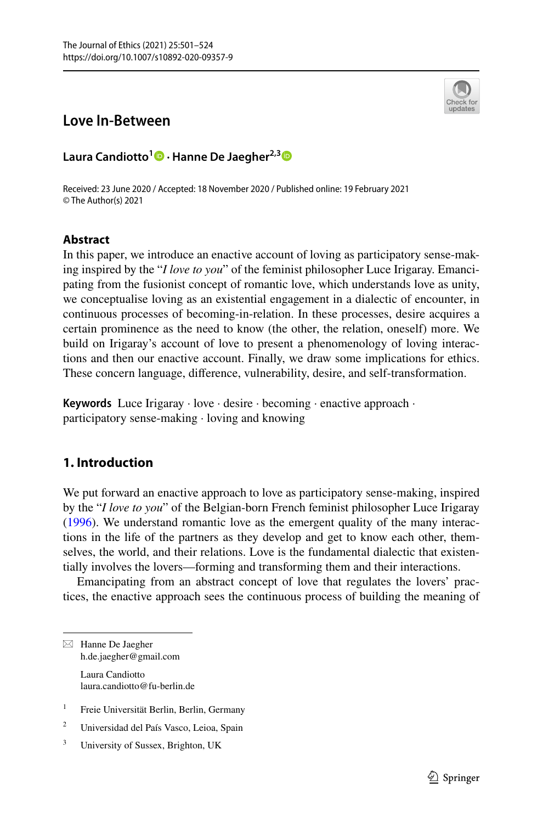

# **Love In‑Between**

**Laura Candiotto<sup>1</sup> · Hanne De Jaegher2,[3](http://orcid.org/0000-0001-7273-6410)**

Received: 23 June 2020 / Accepted: 18 November 2020 / Published online: 19 February 2021 © The Author(s) 2021

### **Abstract**

In this paper, we introduce an enactive account of loving as participatory sense-making inspired by the "*I love to you*" of the feminist philosopher Luce Irigaray. Emancipating from the fusionist concept of romantic love, which understands love as unity, we conceptualise loving as an existential engagement in a dialectic of encounter, in continuous processes of becoming-in-relation. In these processes, desire acquires a certain prominence as the need to know (the other, the relation, oneself) more. We build on Irigaray's account of love to present a phenomenology of loving interactions and then our enactive account. Finally, we draw some implications for ethics. These concern language, diference, vulnerability, desire, and self-transformation.

**Keywords** Luce Irigaray · love · desire · becoming · enactive approach · participatory sense-making · loving and knowing

## **1. Introduction**

We put forward an enactive approach to love as participatory sense-making, inspired by the "*I love to you*" of the Belgian-born French feminist philosopher Luce Irigaray [\(1996](#page-21-0)). We understand romantic love as the emergent quality of the many interactions in the life of the partners as they develop and get to know each other, themselves, the world, and their relations. Love is the fundamental dialectic that existentially involves the lovers—forming and transforming them and their interactions.

Emancipating from an abstract concept of love that regulates the lovers' practices, the enactive approach sees the continuous process of building the meaning of

 $\boxtimes$  Hanne De Jaegher h.de.jaegher@gmail.com Laura Candiotto laura.candiotto@fu-berlin.de

- <sup>1</sup> Freie Universität Berlin, Berlin, Germany
- <sup>2</sup> Universidad del País Vasco, Leioa, Spain
- <sup>3</sup> University of Sussex, Brighton, UK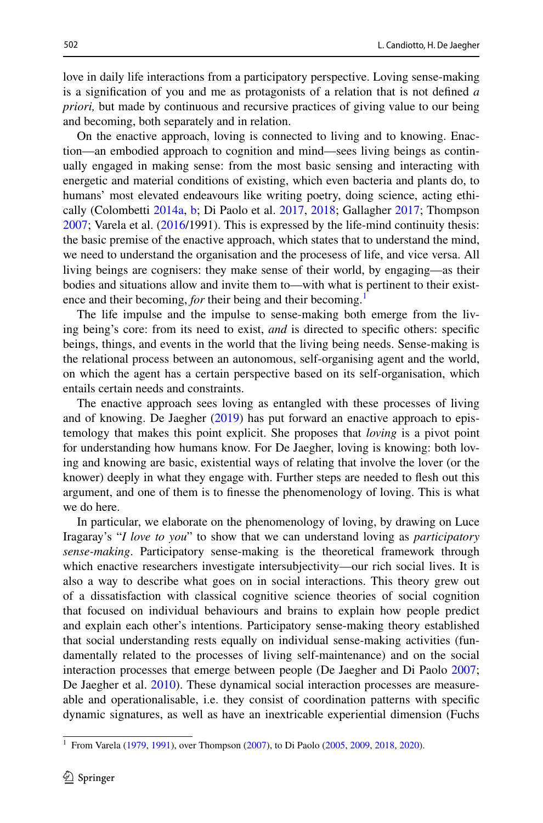love in daily life interactions from a participatory perspective. Loving sense-making is a signifcation of you and me as protagonists of a relation that is not defned *a priori,* but made by continuous and recursive practices of giving value to our being and becoming, both separately and in relation.

On the enactive approach, loving is connected to living and to knowing. Enaction—an embodied approach to cognition and mind—sees living beings as continually engaged in making sense: from the most basic sensing and interacting with energetic and material conditions of existing, which even bacteria and plants do, to humans' most elevated endeavours like writing poetry, doing science, acting ethically (Colombetti [2014a,](#page-20-0) [b](#page-20-1); Di Paolo et al. [2017](#page-21-1), [2018;](#page-21-2) Gallagher [2017;](#page-21-3) Thompson [2007](#page-22-0); Varela et al. [\(2016](#page-22-1)/1991). This is expressed by the life-mind continuity thesis: the basic premise of the enactive approach, which states that to understand the mind, we need to understand the organisation and the procesess of life, and vice versa. All living beings are cognisers: they make sense of their world, by engaging—as their bodies and situations allow and invite them to—with what is pertinent to their existence and their becoming, *for* their being and their becoming.<sup>[1](#page-1-0)</sup>

The life impulse and the impulse to sense-making both emerge from the living being's core: from its need to exist, *and* is directed to specifc others: specifc beings, things, and events in the world that the living being needs. Sense-making is the relational process between an autonomous, self-organising agent and the world, on which the agent has a certain perspective based on its self-organisation, which entails certain needs and constraints.

The enactive approach sees loving as entangled with these processes of living and of knowing. De Jaegher ([2019\)](#page-20-2) has put forward an enactive approach to epistemology that makes this point explicit. She proposes that *loving* is a pivot point for understanding how humans know. For De Jaegher, loving is knowing: both loving and knowing are basic, existential ways of relating that involve the lover (or the knower) deeply in what they engage with. Further steps are needed to fesh out this argument, and one of them is to fnesse the phenomenology of loving. This is what we do here.

In particular, we elaborate on the phenomenology of loving, by drawing on Luce Iragaray's "*I love to you*" to show that we can understand loving as *participatory sense-making*. Participatory sense-making is the theoretical framework through which enactive researchers investigate intersubjectivity—our rich social lives. It is also a way to describe what goes on in social interactions. This theory grew out of a dissatisfaction with classical cognitive science theories of social cognition that focused on individual behaviours and brains to explain how people predict and explain each other's intentions. Participatory sense-making theory established that social understanding rests equally on individual sense-making activities (fundamentally related to the processes of living self-maintenance) and on the social interaction processes that emerge between people (De Jaegher and Di Paolo [2007;](#page-20-3) De Jaegher et al. [2010](#page-20-4)). These dynamical social interaction processes are measureable and operationalisable, i.e. they consist of coordination patterns with specifc dynamic signatures, as well as have an inextricable experiential dimension (Fuchs

<span id="page-1-0"></span><sup>&</sup>lt;sup>1</sup> From Varela [\(1979](#page-22-2), [1991](#page-22-3)), over Thompson ([2007\)](#page-22-0), to Di Paolo [\(2005](#page-20-5), [2009](#page-20-6), [2018](#page-21-4), [2020](#page-21-5)).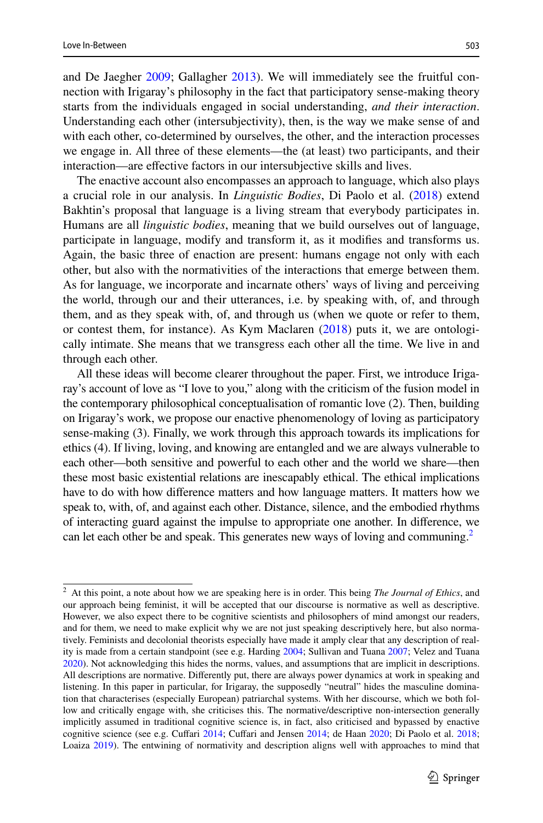and De Jaegher [2009](#page-21-6); Gallagher [2013\)](#page-21-7). We will immediately see the fruitful connection with Irigaray's philosophy in the fact that participatory sense-making theory starts from the individuals engaged in social understanding, *and their interaction*. Understanding each other (intersubjectivity), then, is the way we make sense of and with each other, co-determined by ourselves, the other, and the interaction processes we engage in. All three of these elements—the (at least) two participants, and their interaction—are efective factors in our intersubjective skills and lives.

The enactive account also encompasses an approach to language, which also plays a crucial role in our analysis. In *Linguistic Bodies*, Di Paolo et al. ([2018\)](#page-21-4) extend Bakhtin's proposal that language is a living stream that everybody participates in. Humans are all *linguistic bodies*, meaning that we build ourselves out of language, participate in language, modify and transform it, as it modifes and transforms us. Again, the basic three of enaction are present: humans engage not only with each other, but also with the normativities of the interactions that emerge between them. As for language, we incorporate and incarnate others' ways of living and perceiving the world, through our and their utterances, i.e. by speaking with, of, and through them, and as they speak with, of, and through us (when we quote or refer to them, or contest them, for instance). As Kym Maclaren [\(2018](#page-22-4)) puts it, we are ontologically intimate. She means that we transgress each other all the time. We live in and through each other.

All these ideas will become clearer throughout the paper. First, we introduce Irigaray's account of love as "I love to you," along with the criticism of the fusion model in the contemporary philosophical conceptualisation of romantic love (2). Then, building on Irigaray's work, we propose our enactive phenomenology of loving as participatory sense-making (3). Finally, we work through this approach towards its implications for ethics (4). If living, loving, and knowing are entangled and we are always vulnerable to each other—both sensitive and powerful to each other and the world we share—then these most basic existential relations are inescapably ethical. The ethical implications have to do with how diference matters and how language matters. It matters how we speak to, with, of, and against each other. Distance, silence, and the embodied rhythms of interacting guard against the impulse to appropriate one another. In diference, we can let each other be and speak. This generates new ways of loving and communing.<sup>[2](#page-2-0)</sup>

<span id="page-2-0"></span><sup>2</sup> At this point, a note about how we are speaking here is in order. This being *The Journal of Ethics*, and our approach being feminist, it will be accepted that our discourse is normative as well as descriptive. However, we also expect there to be cognitive scientists and philosophers of mind amongst our readers, and for them, we need to make explicit why we are not just speaking descriptively here, but also normatively. Feminists and decolonial theorists especially have made it amply clear that any description of reality is made from a certain standpoint (see e.g. Harding [2004](#page-21-8); Sullivan and Tuana [2007](#page-22-5); Velez and Tuana [2020](#page-23-0)). Not acknowledging this hides the norms, values, and assumptions that are implicit in descriptions. All descriptions are normative. Diferently put, there are always power dynamics at work in speaking and listening. In this paper in particular, for Irigaray, the supposedly "neutral" hides the masculine domination that characterises (especially European) patriarchal systems. With her discourse, which we both follow and critically engage with, she criticises this. The normative/descriptive non-intersection generally implicitly assumed in traditional cognitive science is, in fact, also criticised and bypassed by enactive cognitive science (see e.g. Cuffari [2014](#page-20-7); Cuffari and Jensen [2014;](#page-20-8) de Haan [2020](#page-20-9); Di Paolo et al. [2018](#page-21-2); Loaiza [2019\)](#page-22-6). The entwining of normativity and description aligns well with approaches to mind that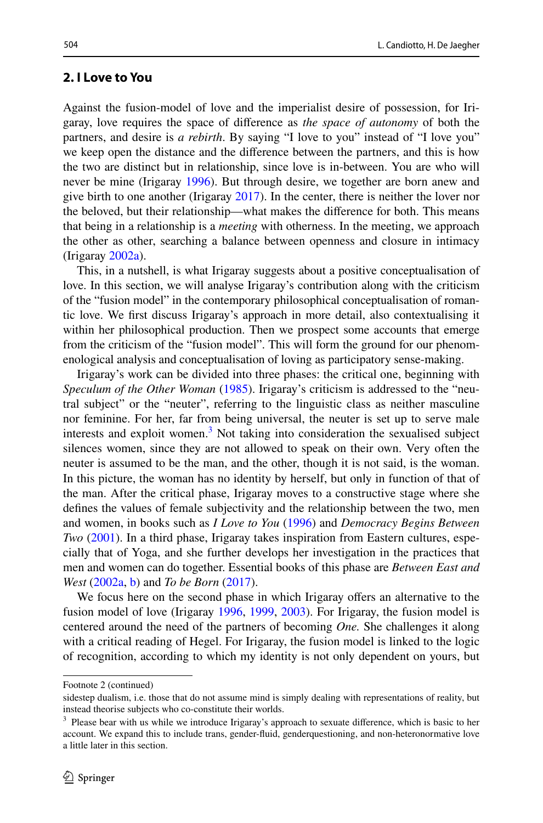#### <span id="page-3-1"></span>**2. I Love to You**

Against the fusion-model of love and the imperialist desire of possession, for Irigaray, love requires the space of diference as *the space of autonomy* of both the partners, and desire is *a rebirth*. By saying "I love to you" instead of "I love you" we keep open the distance and the diference between the partners, and this is how the two are distinct but in relationship, since love is in-between. You are who will never be mine (Irigaray [1996](#page-21-0)). But through desire, we together are born anew and give birth to one another (Irigaray [2017](#page-21-9)). In the center, there is neither the lover nor the beloved, but their relationship—what makes the diference for both. This means that being in a relationship is a *meeting* with otherness. In the meeting, we approach the other as other, searching a balance between openness and closure in intimacy (Irigaray [2002a\)](#page-21-10).

This, in a nutshell, is what Irigaray suggests about a positive conceptualisation of love. In this section, we will analyse Irigaray's contribution along with the criticism of the "fusion model" in the contemporary philosophical conceptualisation of romantic love. We frst discuss Irigaray's approach in more detail, also contextualising it within her philosophical production. Then we prospect some accounts that emerge from the criticism of the "fusion model". This will form the ground for our phenomenological analysis and conceptualisation of loving as participatory sense-making.

Irigaray's work can be divided into three phases: the critical one, beginning with *Speculum of the Other Woman* ([1985\)](#page-21-11). Irigaray's criticism is addressed to the "neutral subject" or the "neuter", referring to the linguistic class as neither masculine nor feminine. For her, far from being universal, the neuter is set up to serve male interests and exploit women.<sup>[3](#page-3-0)</sup> Not taking into consideration the sexualised subject silences women, since they are not allowed to speak on their own. Very often the neuter is assumed to be the man, and the other, though it is not said, is the woman. In this picture, the woman has no identity by herself, but only in function of that of the man. After the critical phase, Irigaray moves to a constructive stage where she defnes the values of female subjectivity and the relationship between the two, men and women, in books such as *I Love to You* ([1996\)](#page-21-0) and *Democracy Begins Between Two* ([2001\)](#page-21-12). In a third phase, Irigaray takes inspiration from Eastern cultures, especially that of Yoga, and she further develops her investigation in the practices that men and women can do together. Essential books of this phase are *Between East and West* ([2002a](#page-21-10), [b](#page-21-13)) and *To be Born* [\(2017](#page-21-9)).

We focus here on the second phase in which Irigaray offers an alternative to the fusion model of love (Irigaray [1996](#page-21-0), [1999](#page-21-14), [2003\)](#page-21-15). For Irigaray, the fusion model is centered around the need of the partners of becoming *One.* She challenges it along with a critical reading of Hegel. For Irigaray, the fusion model is linked to the logic of recognition, according to which my identity is not only dependent on yours, but

Footnote 2 (continued)

sidestep dualism, i.e. those that do not assume mind is simply dealing with representations of reality, but instead theorise subjects who co-constitute their worlds.

<span id="page-3-0"></span><sup>&</sup>lt;sup>3</sup> Please bear with us while we introduce Irigaray's approach to sexuate difference, which is basic to her account. We expand this to include trans, gender-fuid, genderquestioning, and non-heteronormative love a little later in this section.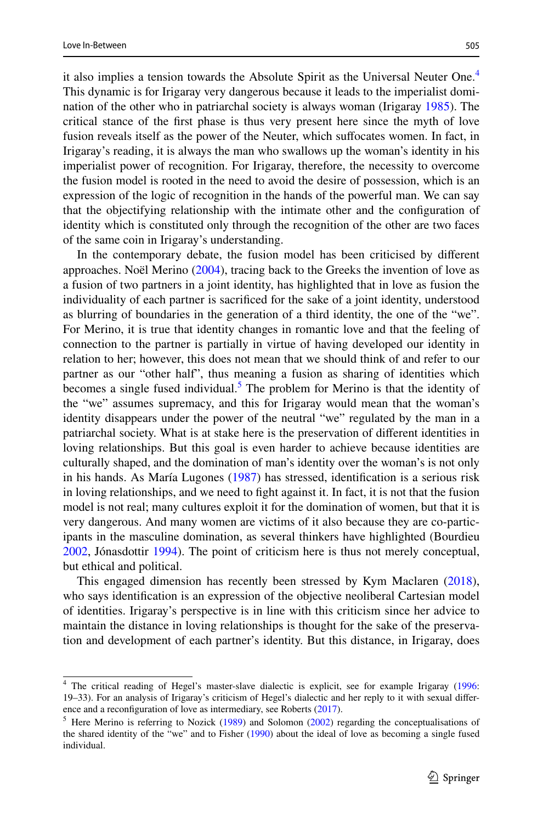it also implies a tension towards the Absolute Spirit as the Universal Neuter One.[4](#page-4-0) This dynamic is for Irigaray very dangerous because it leads to the imperialist domination of the other who in patriarchal society is always woman (Irigaray [1985](#page-21-11)). The critical stance of the frst phase is thus very present here since the myth of love fusion reveals itself as the power of the Neuter, which suffocates women. In fact, in Irigaray's reading, it is always the man who swallows up the woman's identity in his imperialist power of recognition. For Irigaray, therefore, the necessity to overcome the fusion model is rooted in the need to avoid the desire of possession, which is an expression of the logic of recognition in the hands of the powerful man. We can say that the objectifying relationship with the intimate other and the confguration of identity which is constituted only through the recognition of the other are two faces of the same coin in Irigaray's understanding.

In the contemporary debate, the fusion model has been criticised by diferent approaches. Noël Merino [\(2004](#page-22-7)), tracing back to the Greeks the invention of love as a fusion of two partners in a joint identity, has highlighted that in love as fusion the individuality of each partner is sacrifced for the sake of a joint identity, understood as blurring of boundaries in the generation of a third identity, the one of the "we". For Merino, it is true that identity changes in romantic love and that the feeling of connection to the partner is partially in virtue of having developed our identity in relation to her; however, this does not mean that we should think of and refer to our partner as our "other half", thus meaning a fusion as sharing of identities which becomes a single fused individual.<sup>[5](#page-4-1)</sup> The problem for Merino is that the identity of the "we" assumes supremacy, and this for Irigaray would mean that the woman's identity disappears under the power of the neutral "we" regulated by the man in a patriarchal society. What is at stake here is the preservation of diferent identities in loving relationships. But this goal is even harder to achieve because identities are culturally shaped, and the domination of man's identity over the woman's is not only in his hands. As María Lugones ([1987\)](#page-22-8) has stressed, identifcation is a serious risk in loving relationships, and we need to fght against it. In fact, it is not that the fusion model is not real; many cultures exploit it for the domination of women, but that it is very dangerous. And many women are victims of it also because they are co-participants in the masculine domination, as several thinkers have highlighted (Bourdieu [2002](#page-20-10), Jónasdottir [1994\)](#page-21-16). The point of criticism here is thus not merely conceptual, but ethical and political.

This engaged dimension has recently been stressed by Kym Maclaren ([2018\)](#page-22-4), who says identifcation is an expression of the objective neoliberal Cartesian model of identities. Irigaray's perspective is in line with this criticism since her advice to maintain the distance in loving relationships is thought for the sake of the preservation and development of each partner's identity. But this distance, in Irigaray, does

<span id="page-4-0"></span><sup>4</sup> The critical reading of Hegel's master-slave dialectic is explicit, see for example Irigaray [\(1996](#page-21-0): 19–33). For an analysis of Irigaray's criticism of Hegel's dialectic and her reply to it with sexual diference and a reconfguration of love as intermediary, see Roberts ([2017\)](#page-22-9).

<span id="page-4-1"></span><sup>&</sup>lt;sup>5</sup> Here Merino is referring to Nozick [\(1989](#page-22-10)) and Solomon [\(2002](#page-22-11)) regarding the conceptualisations of the shared identity of the "we" and to Fisher ([1990\)](#page-21-17) about the ideal of love as becoming a single fused individual.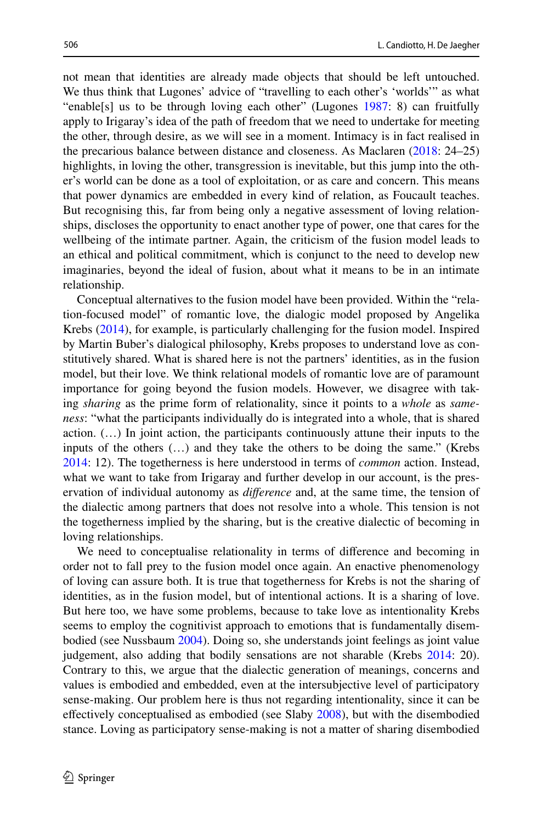not mean that identities are already made objects that should be left untouched. We thus think that Lugones' advice of "travelling to each other's 'worlds'" as what "enable[s] us to be through loving each other" (Lugones [1987](#page-22-8): 8) can fruitfully apply to Irigaray's idea of the path of freedom that we need to undertake for meeting the other, through desire, as we will see in a moment. Intimacy is in fact realised in the precarious balance between distance and closeness. As Maclaren [\(2018](#page-22-4): 24–25) highlights, in loving the other, transgression is inevitable, but this jump into the other's world can be done as a tool of exploitation, or as care and concern. This means that power dynamics are embedded in every kind of relation, as Foucault teaches. But recognising this, far from being only a negative assessment of loving relationships, discloses the opportunity to enact another type of power, one that cares for the wellbeing of the intimate partner. Again, the criticism of the fusion model leads to an ethical and political commitment, which is conjunct to the need to develop new imaginaries, beyond the ideal of fusion, about what it means to be in an intimate relationship.

Conceptual alternatives to the fusion model have been provided. Within the "relation-focused model" of romantic love, the dialogic model proposed by Angelika Krebs ([2014\)](#page-22-12), for example, is particularly challenging for the fusion model. Inspired by Martin Buber's dialogical philosophy, Krebs proposes to understand love as constitutively shared. What is shared here is not the partners' identities, as in the fusion model, but their love. We think relational models of romantic love are of paramount importance for going beyond the fusion models. However, we disagree with taking *sharing* as the prime form of relationality, since it points to a *whole* as *sameness*: "what the participants individually do is integrated into a whole, that is shared action. (…) In joint action, the participants continuously attune their inputs to the inputs of the others (…) and they take the others to be doing the same." (Krebs [2014](#page-22-12): 12). The togetherness is here understood in terms of *common* action. Instead, what we want to take from Irigaray and further develop in our account, is the preservation of individual autonomy as *diference* and, at the same time, the tension of the dialectic among partners that does not resolve into a whole. This tension is not the togetherness implied by the sharing, but is the creative dialectic of becoming in loving relationships.

We need to conceptualise relationality in terms of diference and becoming in order not to fall prey to the fusion model once again. An enactive phenomenology of loving can assure both. It is true that togetherness for Krebs is not the sharing of identities, as in the fusion model, but of intentional actions. It is a sharing of love. But here too, we have some problems, because to take love as intentionality Krebs seems to employ the cognitivist approach to emotions that is fundamentally disembodied (see Nussbaum [2004](#page-22-13)). Doing so, she understands joint feelings as joint value judgement, also adding that bodily sensations are not sharable (Krebs [2014:](#page-22-12) 20). Contrary to this, we argue that the dialectic generation of meanings, concerns and values is embodied and embedded, even at the intersubjective level of participatory sense-making. Our problem here is thus not regarding intentionality, since it can be effectively conceptualised as embodied (see Slaby [2008\)](#page-22-14), but with the disembodied stance. Loving as participatory sense-making is not a matter of sharing disembodied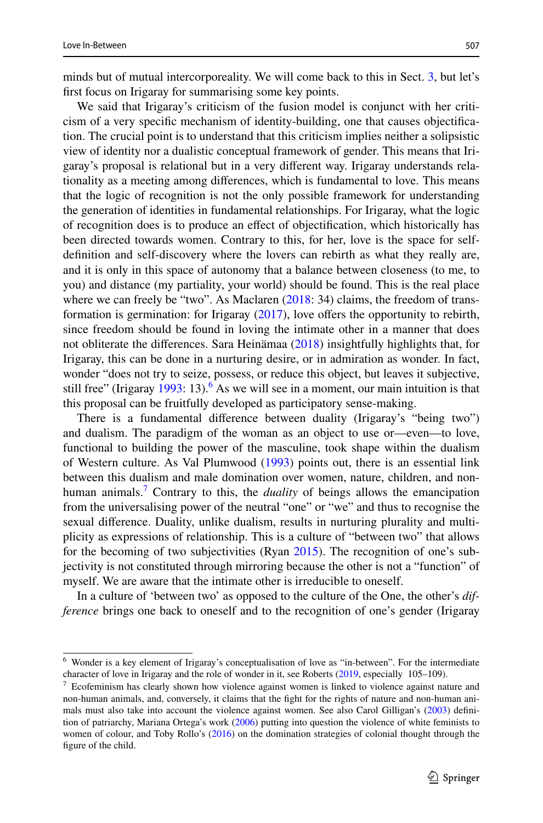minds but of mutual intercorporeality. We will come back to this in Sect. [3](#page-9-0), but let's frst focus on Irigaray for summarising some key points.

We said that Irigaray's criticism of the fusion model is conjunct with her criticism of a very specifc mechanism of identity-building, one that causes objectifcation. The crucial point is to understand that this criticism implies neither a solipsistic view of identity nor a dualistic conceptual framework of gender. This means that Irigaray's proposal is relational but in a very diferent way. Irigaray understands relationality as a meeting among diferences, which is fundamental to love. This means that the logic of recognition is not the only possible framework for understanding the generation of identities in fundamental relationships. For Irigaray, what the logic of recognition does is to produce an efect of objectifcation, which historically has been directed towards women. Contrary to this, for her, love is the space for selfdefnition and self-discovery where the lovers can rebirth as what they really are, and it is only in this space of autonomy that a balance between closeness (to me, to you) and distance (my partiality, your world) should be found. This is the real place where we can freely be "two". As Maclaren ([2018:](#page-22-4) 34) claims, the freedom of transformation is germination: for Irigaray ([2017\)](#page-21-9), love ofers the opportunity to rebirth, since freedom should be found in loving the intimate other in a manner that does not obliterate the diferences. Sara Heinämaa ([2018\)](#page-21-18) insightfully highlights that, for Irigaray, this can be done in a nurturing desire, or in admiration as wonder. In fact, wonder "does not try to seize, possess, or reduce this object, but leaves it subjective, still free" (Irigaray  $1993$ : 13).<sup>[6](#page-6-0)</sup> As we will see in a moment, our main intuition is that this proposal can be fruitfully developed as participatory sense-making.

There is a fundamental diference between duality (Irigaray's "being two") and dualism. The paradigm of the woman as an object to use or—even—to love, functional to building the power of the masculine, took shape within the dualism of Western culture. As Val Plumwood ([1993\)](#page-22-15) points out, there is an essential link between this dualism and male domination over women, nature, children, and nonhuman animals.[7](#page-6-1) Contrary to this, the *duality* of beings allows the emancipation from the universalising power of the neutral "one" or "we" and thus to recognise the sexual diference. Duality, unlike dualism, results in nurturing plurality and multiplicity as expressions of relationship. This is a culture of "between two" that allows for the becoming of two subjectivities (Ryan [2015\)](#page-22-16). The recognition of one's subjectivity is not constituted through mirroring because the other is not a "function" of myself. We are aware that the intimate other is irreducible to oneself.

In a culture of 'between two' as opposed to the culture of the One, the other's *difference* brings one back to oneself and to the recognition of one's gender (Irigaray

<span id="page-6-0"></span><sup>6</sup> Wonder is a key element of Irigaray's conceptualisation of love as "in-between". For the intermediate character of love in Irigaray and the role of wonder in it, see Roberts [\(2019](#page-22-17), especially 105–109).

<span id="page-6-1"></span><sup>7</sup> Ecofeminism has clearly shown how violence against women is linked to violence against nature and non-human animals, and, conversely, it claims that the fght for the rights of nature and non-human animals must also take into account the violence against women. See also Carol Gilligan's ([2003\)](#page-21-20) defnition of patriarchy, Mariana Ortega's work [\(2006](#page-22-18)) putting into question the violence of white feminists to women of colour, and Toby Rollo's [\(2016](#page-22-19)) on the domination strategies of colonial thought through the fgure of the child.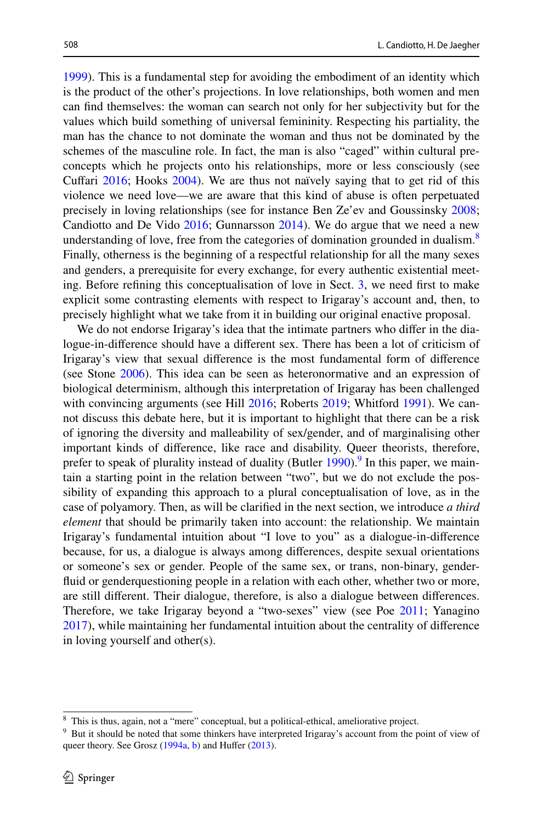[1999](#page-21-14)). This is a fundamental step for avoiding the embodiment of an identity which is the product of the other's projections. In love relationships, both women and men can fnd themselves: the woman can search not only for her subjectivity but for the values which build something of universal femininity. Respecting his partiality, the man has the chance to not dominate the woman and thus not be dominated by the schemes of the masculine role. In fact, the man is also "caged" within cultural preconcepts which he projects onto his relationships, more or less consciously (see Cufari [2016](#page-20-11); Hooks [2004](#page-21-21)). We are thus not naïvely saying that to get rid of this violence we need love—we are aware that this kind of abuse is often perpetuated precisely in loving relationships (see for instance Ben Ze'ev and Goussinsky [2008;](#page-20-12) Candiotto and De Vido [2016;](#page-20-13) Gunnarsson [2014\)](#page-21-22). We do argue that we need a new understanding of love, free from the categories of domination grounded in dualism.<sup>[8](#page-7-0)</sup> Finally, otherness is the beginning of a respectful relationship for all the many sexes and genders, a prerequisite for every exchange, for every authentic existential meeting. Before refning this conceptualisation of love in Sect. [3,](#page-9-0) we need frst to make explicit some contrasting elements with respect to Irigaray's account and, then, to precisely highlight what we take from it in building our original enactive proposal.

We do not endorse Irigaray's idea that the intimate partners who difer in the dialogue-in-diference should have a diferent sex. There has been a lot of criticism of Irigaray's view that sexual diference is the most fundamental form of diference (see Stone [2006](#page-22-20)). This idea can be seen as heteronormative and an expression of biological determinism, although this interpretation of Irigaray has been challenged with convincing arguments (see Hill [2016](#page-21-23); Roberts [2019;](#page-22-17) Whitford [1991](#page-23-1)). We cannot discuss this debate here, but it is important to highlight that there can be a risk of ignoring the diversity and malleability of sex/gender, and of marginalising other important kinds of diference, like race and disability. Queer theorists, therefore, prefer to speak of plurality instead of duality (Butler [1990\)](#page-20-14).<sup>[9](#page-7-1)</sup> In this paper, we maintain a starting point in the relation between "two", but we do not exclude the possibility of expanding this approach to a plural conceptualisation of love, as in the case of polyamory. Then, as will be clarifed in the next section, we introduce *a third element* that should be primarily taken into account: the relationship. We maintain Irigaray's fundamental intuition about "I love to you" as a dialogue-in-diference because, for us, a dialogue is always among diferences, despite sexual orientations or someone's sex or gender. People of the same sex, or trans, non-binary, genderfuid or genderquestioning people in a relation with each other, whether two or more, are still diferent. Their dialogue, therefore, is also a dialogue between diferences. Therefore, we take Irigaray beyond a "two-sexes" view (see Poe [2011;](#page-22-21) Yanagino [2017](#page-23-2)), while maintaining her fundamental intuition about the centrality of diference in loving yourself and other(s).

<span id="page-7-0"></span><sup>8</sup> This is thus, again, not a "mere" conceptual, but a political-ethical, ameliorative project.

<span id="page-7-1"></span><sup>&</sup>lt;sup>9</sup> But it should be noted that some thinkers have interpreted Irigaray's account from the point of view of queer theory. See Grosz [\(1994a,](#page-21-24) [b\)](#page-21-25) and Huffer [\(2013](#page-21-26)).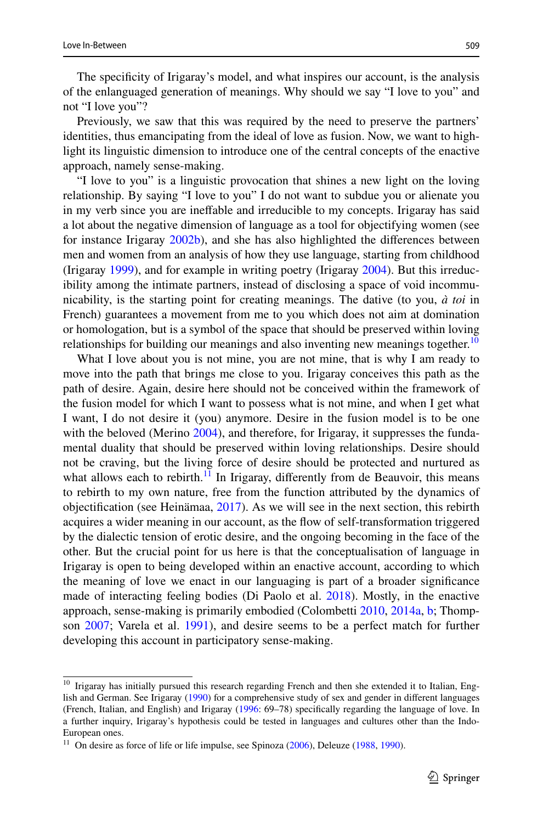The specifcity of Irigaray's model, and what inspires our account, is the analysis of the enlanguaged generation of meanings. Why should we say "I love to you" and not "I love you"?

Previously, we saw that this was required by the need to preserve the partners' identities, thus emancipating from the ideal of love as fusion. Now, we want to highlight its linguistic dimension to introduce one of the central concepts of the enactive approach, namely sense-making.

"I love to you" is a linguistic provocation that shines a new light on the loving relationship. By saying "I love to you" I do not want to subdue you or alienate you in my verb since you are inefable and irreducible to my concepts. Irigaray has said a lot about the negative dimension of language as a tool for objectifying women (see for instance Irigaray [2002b](#page-21-13)), and she has also highlighted the diferences between men and women from an analysis of how they use language, starting from childhood (Irigaray [1999\)](#page-21-14), and for example in writing poetry (Irigaray [2004](#page-21-27)). But this irreducibility among the intimate partners, instead of disclosing a space of void incommunicability, is the starting point for creating meanings. The dative (to you, *à toi* in French) guarantees a movement from me to you which does not aim at domination or homologation, but is a symbol of the space that should be preserved within loving relationships for building our meanings and also inventing new meanings together.<sup>[10](#page-8-0)</sup>

What I love about you is not mine, you are not mine, that is why I am ready to move into the path that brings me close to you. Irigaray conceives this path as the path of desire. Again, desire here should not be conceived within the framework of the fusion model for which I want to possess what is not mine, and when I get what I want, I do not desire it (you) anymore. Desire in the fusion model is to be one with the beloved (Merino [2004](#page-22-7)), and therefore, for Irigaray, it suppresses the fundamental duality that should be preserved within loving relationships. Desire should not be craving, but the living force of desire should be protected and nurtured as what allows each to rebirth.<sup>11</sup> In Irigaray, differently from de Beauvoir, this means to rebirth to my own nature, free from the function attributed by the dynamics of objectifcation (see Heinämaa, [2017](#page-21-28)). As we will see in the next section, this rebirth acquires a wider meaning in our account, as the fow of self-transformation triggered by the dialectic tension of erotic desire, and the ongoing becoming in the face of the other. But the crucial point for us here is that the conceptualisation of language in Irigaray is open to being developed within an enactive account, according to which the meaning of love we enact in our languaging is part of a broader signifcance made of interacting feeling bodies (Di Paolo et al. [2018](#page-21-2)). Mostly, in the enactive approach, sense-making is primarily embodied (Colombetti [2010,](#page-20-15) [2014a,](#page-20-0) [b;](#page-20-1) Thompson [2007;](#page-22-0) Varela et al. [1991](#page-22-3)), and desire seems to be a perfect match for further developing this account in participatory sense-making.

<span id="page-8-0"></span><sup>&</sup>lt;sup>10</sup> Irigaray has initially pursued this research regarding French and then she extended it to Italian, English and German. See Irigaray [\(1990](#page-21-29)) for a comprehensive study of sex and gender in diferent languages (French, Italian, and English) and Irigaray [\(1996](#page-21-0): 69–78) specifcally regarding the language of love. In a further inquiry, Irigaray's hypothesis could be tested in languages and cultures other than the Indo-European ones.

<span id="page-8-1"></span> $11$  On desire as force of life or life impulse, see Spinoza [\(2006](#page-22-22)), Deleuze ([1988,](#page-20-16) [1990\)](#page-20-17).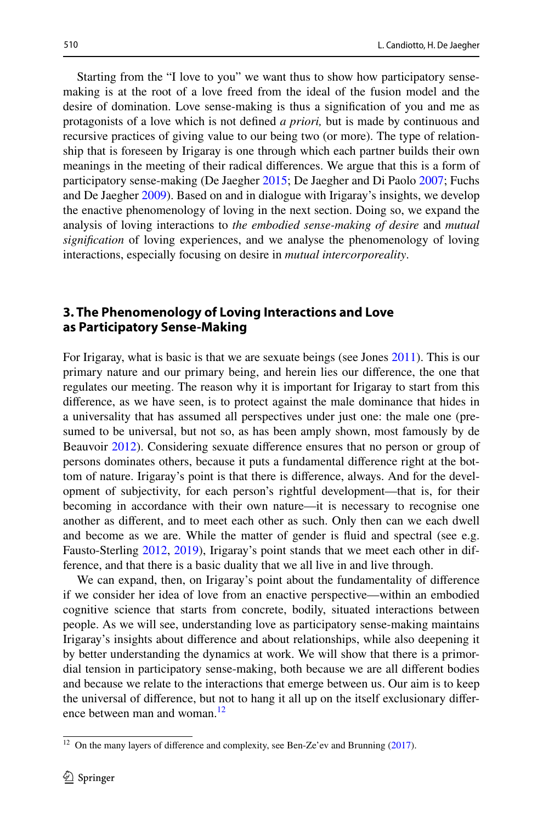Starting from the "I love to you" we want thus to show how participatory sensemaking is at the root of a love freed from the ideal of the fusion model and the desire of domination. Love sense-making is thus a signifcation of you and me as protagonists of a love which is not defned *a priori,* but is made by continuous and recursive practices of giving value to our being two (or more). The type of relationship that is foreseen by Irigaray is one through which each partner builds their own meanings in the meeting of their radical diferences. We argue that this is a form of participatory sense-making (De Jaegher [2015;](#page-20-18) De Jaegher and Di Paolo [2007](#page-20-3); Fuchs and De Jaegher [2009\)](#page-21-6). Based on and in dialogue with Irigaray's insights, we develop the enactive phenomenology of loving in the next section. Doing so, we expand the analysis of loving interactions to *the embodied sense-making of desire* and *mutual signifcation* of loving experiences, and we analyse the phenomenology of loving interactions, especially focusing on desire in *mutual intercorporeality*.

## <span id="page-9-0"></span>**3. The Phenomenology of Loving Interactions and Love as Participatory Sense‑Making**

For Irigaray, what is basic is that we are sexuate beings (see Jones [2011](#page-21-30)). This is our primary nature and our primary being, and herein lies our diference, the one that regulates our meeting. The reason why it is important for Irigaray to start from this diference, as we have seen, is to protect against the male dominance that hides in a universality that has assumed all perspectives under just one: the male one (presumed to be universal, but not so, as has been amply shown, most famously by de Beauvoir [2012\)](#page-20-19). Considering sexuate diference ensures that no person or group of persons dominates others, because it puts a fundamental diference right at the bottom of nature. Irigaray's point is that there is diference, always. And for the development of subjectivity, for each person's rightful development—that is, for their becoming in accordance with their own nature—it is necessary to recognise one another as diferent, and to meet each other as such. Only then can we each dwell and become as we are. While the matter of gender is fuid and spectral (see e.g. Fausto-Sterling [2012](#page-21-31), [2019\)](#page-21-32), Irigaray's point stands that we meet each other in difference, and that there is a basic duality that we all live in and live through.

We can expand, then, on Irigaray's point about the fundamentality of diference if we consider her idea of love from an enactive perspective—within an embodied cognitive science that starts from concrete, bodily, situated interactions between people. As we will see, understanding love as participatory sense-making maintains Irigaray's insights about diference and about relationships, while also deepening it by better understanding the dynamics at work. We will show that there is a primordial tension in participatory sense-making, both because we are all diferent bodies and because we relate to the interactions that emerge between us. Our aim is to keep the universal of diference, but not to hang it all up on the itself exclusionary difer-ence between man and woman.<sup>[12](#page-9-1)</sup>

<span id="page-9-1"></span> $12$  On the many layers of difference and complexity, see Ben-Ze'ev and Brunning ([2017\)](#page-20-20).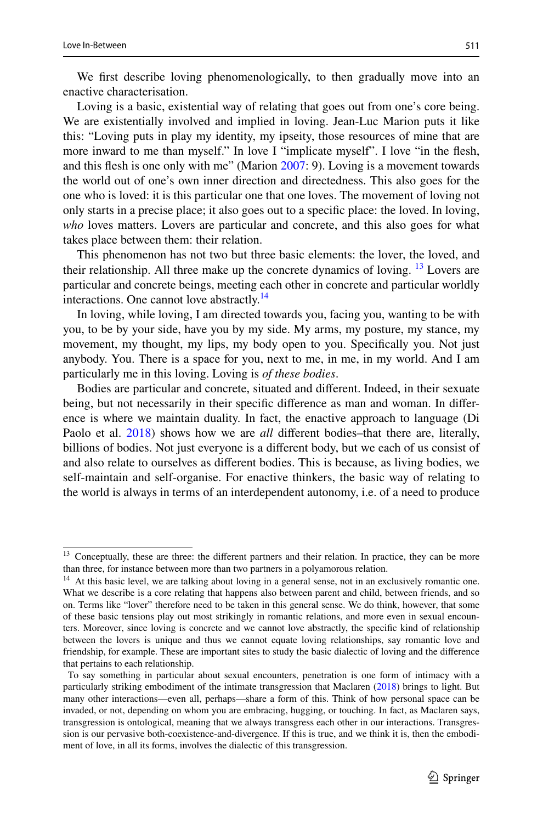We frst describe loving phenomenologically, to then gradually move into an enactive characterisation.

Loving is a basic, existential way of relating that goes out from one's core being. We are existentially involved and implied in loving. Jean-Luc Marion puts it like this: "Loving puts in play my identity, my ipseity, those resources of mine that are more inward to me than myself." In love I "implicate myself". I love "in the fesh, and this fesh is one only with me" (Marion [2007](#page-22-23): 9). Loving is a movement towards the world out of one's own inner direction and directedness. This also goes for the one who is loved: it is this particular one that one loves. The movement of loving not only starts in a precise place; it also goes out to a specifc place: the loved. In loving, *who* loves matters. Lovers are particular and concrete, and this also goes for what takes place between them: their relation.

This phenomenon has not two but three basic elements: the lover, the loved, and their relationship. All three make up the concrete dynamics of loving.  $^{13}$  $^{13}$  $^{13}$  Lovers are particular and concrete beings, meeting each other in concrete and particular worldly interactions. One cannot love abstractly.<sup>[14](#page-10-1)</sup>

In loving, while loving, I am directed towards you, facing you, wanting to be with you, to be by your side, have you by my side. My arms, my posture, my stance, my movement, my thought, my lips, my body open to you. Specifcally you. Not just anybody. You. There is a space for you, next to me, in me, in my world. And I am particularly me in this loving. Loving is *of these bodies*.

Bodies are particular and concrete, situated and diferent. Indeed, in their sexuate being, but not necessarily in their specifc diference as man and woman. In diference is where we maintain duality. In fact, the enactive approach to language (Di Paolo et al. [2018](#page-21-2)) shows how we are *all* diferent bodies–that there are, literally, billions of bodies. Not just everyone is a diferent body, but we each of us consist of and also relate to ourselves as diferent bodies. This is because, as living bodies, we self-maintain and self-organise. For enactive thinkers, the basic way of relating to the world is always in terms of an interdependent autonomy, i.e. of a need to produce

<span id="page-10-0"></span><sup>&</sup>lt;sup>13</sup> Conceptually, these are three: the different partners and their relation. In practice, they can be more than three, for instance between more than two partners in a polyamorous relation.

<span id="page-10-1"></span><sup>&</sup>lt;sup>14</sup> At this basic level, we are talking about loving in a general sense, not in an exclusively romantic one. What we describe is a core relating that happens also between parent and child, between friends, and so on. Terms like "lover" therefore need to be taken in this general sense. We do think, however, that some of these basic tensions play out most strikingly in romantic relations, and more even in sexual encounters. Moreover, since loving is concrete and we cannot love abstractly, the specifc kind of relationship between the lovers is unique and thus we cannot equate loving relationships, say romantic love and friendship, for example. These are important sites to study the basic dialectic of loving and the diference that pertains to each relationship.

To say something in particular about sexual encounters, penetration is one form of intimacy with a particularly striking embodiment of the intimate transgression that Maclaren ([2018\)](#page-22-4) brings to light. But many other interactions—even all, perhaps—share a form of this. Think of how personal space can be invaded, or not, depending on whom you are embracing, hugging, or touching. In fact, as Maclaren says, transgression is ontological, meaning that we always transgress each other in our interactions. Transgression is our pervasive both-coexistence-and-divergence. If this is true, and we think it is, then the embodiment of love, in all its forms, involves the dialectic of this transgression.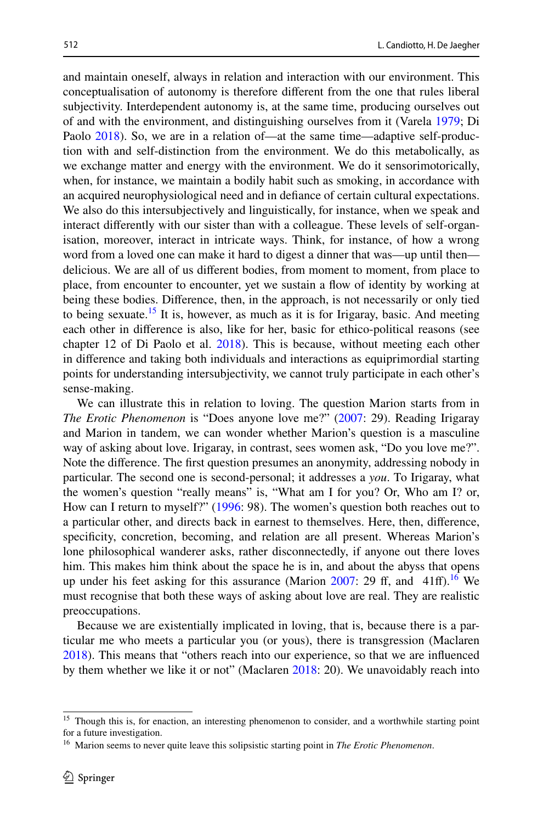and maintain oneself, always in relation and interaction with our environment. This conceptualisation of autonomy is therefore diferent from the one that rules liberal subjectivity. Interdependent autonomy is, at the same time, producing ourselves out of and with the environment, and distinguishing ourselves from it (Varela [1979;](#page-22-2) Di Paolo [2018](#page-21-4)). So, we are in a relation of—at the same time—adaptive self-production with and self-distinction from the environment. We do this metabolically, as we exchange matter and energy with the environment. We do it sensorimotorically, when, for instance, we maintain a bodily habit such as smoking, in accordance with an acquired neurophysiological need and in defance of certain cultural expectations. We also do this intersubjectively and linguistically, for instance, when we speak and interact diferently with our sister than with a colleague. These levels of self-organisation, moreover, interact in intricate ways. Think, for instance, of how a wrong word from a loved one can make it hard to digest a dinner that was—up until then delicious. We are all of us diferent bodies, from moment to moment, from place to place, from encounter to encounter, yet we sustain a fow of identity by working at being these bodies. Diference, then, in the approach, is not necessarily or only tied to being sexuate.<sup>15</sup> It is, however, as much as it is for Irigaray, basic. And meeting each other in diference is also, like for her, basic for ethico-political reasons (see chapter 12 of Di Paolo et al. [2018](#page-21-2)). This is because, without meeting each other in diference and taking both individuals and interactions as equiprimordial starting

points for understanding intersubjectivity, we cannot truly participate in each other's sense-making. We can illustrate this in relation to loving. The question Marion starts from in *The Erotic Phenomenon* is "Does anyone love me?" ([2007:](#page-22-23) 29). Reading Irigaray and Marion in tandem, we can wonder whether Marion's question is a masculine way of asking about love. Irigaray, in contrast, sees women ask, "Do you love me?". Note the diference. The frst question presumes an anonymity, addressing nobody in particular. The second one is second-personal; it addresses a *you*. To Irigaray, what the women's question "really means" is, "What am I for you? Or, Who am I? or, How can I return to myself?" ([1996:](#page-21-0) 98). The women's question both reaches out to a particular other, and directs back in earnest to themselves. Here, then, diference, specifcity, concretion, becoming, and relation are all present. Whereas Marion's lone philosophical wanderer asks, rather disconnectedly, if anyone out there loves him. This makes him think about the space he is in, and about the abyss that opens up under his feet asking for this assurance (Marion  $2007$ : 29 ff, and 41ff).<sup>[16](#page-11-1)</sup> We must recognise that both these ways of asking about love are real. They are realistic preoccupations.

Because we are existentially implicated in loving, that is, because there is a particular me who meets a particular you (or yous), there is transgression (Maclaren [2018](#page-22-4)). This means that "others reach into our experience, so that we are infuenced by them whether we like it or not" (Maclaren [2018:](#page-22-4) 20). We unavoidably reach into

<span id="page-11-0"></span><sup>&</sup>lt;sup>15</sup> Though this is, for enaction, an interesting phenomenon to consider, and a worthwhile starting point for a future investigation.

<span id="page-11-1"></span><sup>16</sup> Marion seems to never quite leave this solipsistic starting point in *The Erotic Phenomenon*.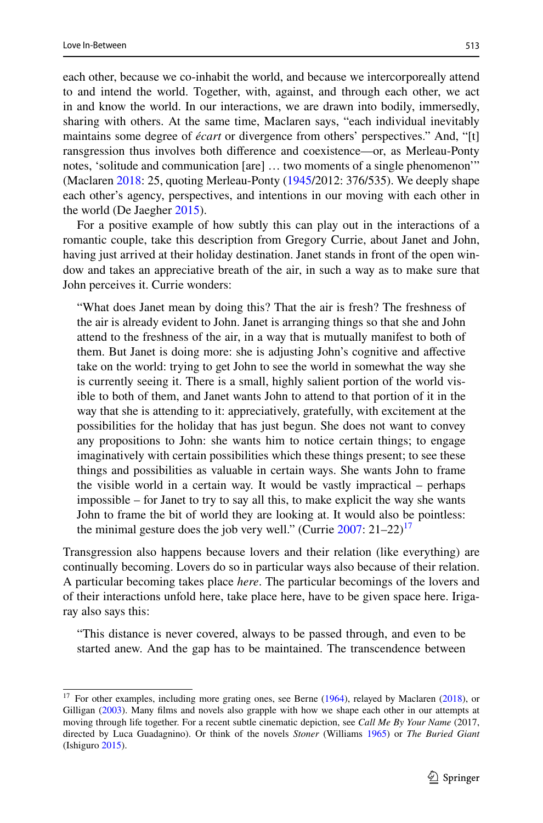each other, because we co-inhabit the world, and because we intercorporeally attend to and intend the world. Together, with, against, and through each other, we act in and know the world. In our interactions, we are drawn into bodily, immersedly, sharing with others. At the same time, Maclaren says, "each individual inevitably maintains some degree of *écart* or divergence from others' perspectives." And, "[t] ransgression thus involves both diference and coexistence—or, as Merleau-Ponty notes, 'solitude and communication [are] … two moments of a single phenomenon'" (Maclaren [2018](#page-22-4): 25, quoting Merleau-Ponty [\(1945](#page-22-24)/2012: 376/535). We deeply shape each other's agency, perspectives, and intentions in our moving with each other in the world (De Jaegher [2015\)](#page-20-18).

For a positive example of how subtly this can play out in the interactions of a romantic couple, take this description from Gregory Currie, about Janet and John, having just arrived at their holiday destination. Janet stands in front of the open window and takes an appreciative breath of the air, in such a way as to make sure that John perceives it. Currie wonders:

"What does Janet mean by doing this? That the air is fresh? The freshness of the air is already evident to John. Janet is arranging things so that she and John attend to the freshness of the air, in a way that is mutually manifest to both of them. But Janet is doing more: she is adjusting John's cognitive and afective take on the world: trying to get John to see the world in somewhat the way she is currently seeing it. There is a small, highly salient portion of the world visible to both of them, and Janet wants John to attend to that portion of it in the way that she is attending to it: appreciatively, gratefully, with excitement at the possibilities for the holiday that has just begun. She does not want to convey any propositions to John: she wants him to notice certain things; to engage imaginatively with certain possibilities which these things present; to see these things and possibilities as valuable in certain ways. She wants John to frame the visible world in a certain way. It would be vastly impractical – perhaps impossible – for Janet to try to say all this, to make explicit the way she wants John to frame the bit of world they are looking at. It would also be pointless: the minimal gesture does the job very well." (Currie  $2007: 21-22$ )<sup>[17](#page-12-0)</sup>

Transgression also happens because lovers and their relation (like everything) are continually becoming. Lovers do so in particular ways also because of their relation. A particular becoming takes place *here*. The particular becomings of the lovers and of their interactions unfold here, take place here, have to be given space here. Irigaray also says this:

"This distance is never covered, always to be passed through, and even to be started anew. And the gap has to be maintained. The transcendence between

<span id="page-12-0"></span><sup>&</sup>lt;sup>17</sup> For other examples, including more grating ones, see Berne ([1964\)](#page-20-22), relayed by Maclaren [\(2018](#page-22-4)), or Gilligan ([2003\)](#page-21-20). Many flms and novels also grapple with how we shape each other in our attempts at moving through life together. For a recent subtle cinematic depiction, see *Call Me By Your Name* (2017, directed by Luca Guadagnino). Or think of the novels *Stoner* (Williams [1965](#page-23-3)) or *The Buried Giant* (Ishiguro [2015](#page-21-33)).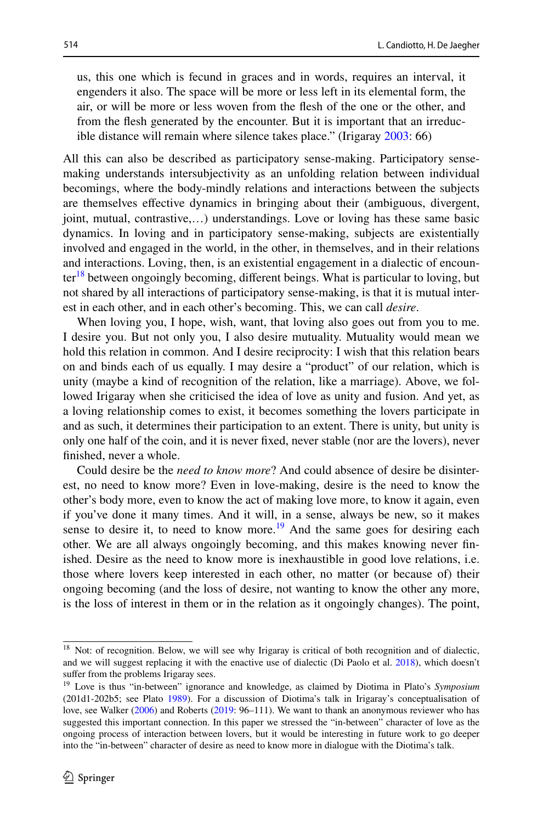us, this one which is fecund in graces and in words, requires an interval, it engenders it also. The space will be more or less left in its elemental form, the air, or will be more or less woven from the fesh of the one or the other, and from the fesh generated by the encounter. But it is important that an irreducible distance will remain where silence takes place." (Irigaray [2003](#page-21-15): 66)

All this can also be described as participatory sense-making. Participatory sensemaking understands intersubjectivity as an unfolding relation between individual becomings, where the body-mindly relations and interactions between the subjects are themselves efective dynamics in bringing about their (ambiguous, divergent, joint, mutual, contrastive,…) understandings. Love or loving has these same basic dynamics. In loving and in participatory sense-making, subjects are existentially involved and engaged in the world, in the other, in themselves, and in their relations and interactions. Loving, then, is an existential engagement in a dialectic of encounter<sup>18</sup> between ongoingly becoming, different beings. What is particular to loving, but not shared by all interactions of participatory sense-making, is that it is mutual interest in each other, and in each other's becoming. This, we can call *desire*.

When loving you, I hope, wish, want, that loving also goes out from you to me. I desire you. But not only you, I also desire mutuality. Mutuality would mean we hold this relation in common. And I desire reciprocity: I wish that this relation bears on and binds each of us equally. I may desire a "product" of our relation, which is unity (maybe a kind of recognition of the relation, like a marriage). Above, we followed Irigaray when she criticised the idea of love as unity and fusion. And yet, as a loving relationship comes to exist, it becomes something the lovers participate in and as such, it determines their participation to an extent. There is unity, but unity is only one half of the coin, and it is never fxed, never stable (nor are the lovers), never fnished, never a whole.

Could desire be the *need to know more*? And could absence of desire be disinterest, no need to know more? Even in love-making, desire is the need to know the other's body more, even to know the act of making love more, to know it again, even if you've done it many times. And it will, in a sense, always be new, so it makes sense to desire it, to need to know more.<sup>19</sup> And the same goes for desiring each other. We are all always ongoingly becoming, and this makes knowing never fnished. Desire as the need to know more is inexhaustible in good love relations, i.e. those where lovers keep interested in each other, no matter (or because of) their ongoing becoming (and the loss of desire, not wanting to know the other any more, is the loss of interest in them or in the relation as it ongoingly changes). The point,

<span id="page-13-0"></span><sup>&</sup>lt;sup>18</sup> Not: of recognition. Below, we will see why Irigaray is critical of both recognition and of dialectic, and we will suggest replacing it with the enactive use of dialectic (Di Paolo et al. [2018](#page-21-2)), which doesn't suffer from the problems Irigaray sees.

<span id="page-13-1"></span><sup>19</sup> Love is thus "in-between" ignorance and knowledge, as claimed by Diotima in Plato's *Symposium* (201d1-202b5; see Plato [1989\)](#page-22-25). For a discussion of Diotima's talk in Irigaray's conceptualisation of love, see Walker ([2006\)](#page-23-4) and Roberts [\(2019](#page-22-17): 96–111). We want to thank an anonymous reviewer who has suggested this important connection. In this paper we stressed the "in-between" character of love as the ongoing process of interaction between lovers, but it would be interesting in future work to go deeper into the "in-between" character of desire as need to know more in dialogue with the Diotima's talk.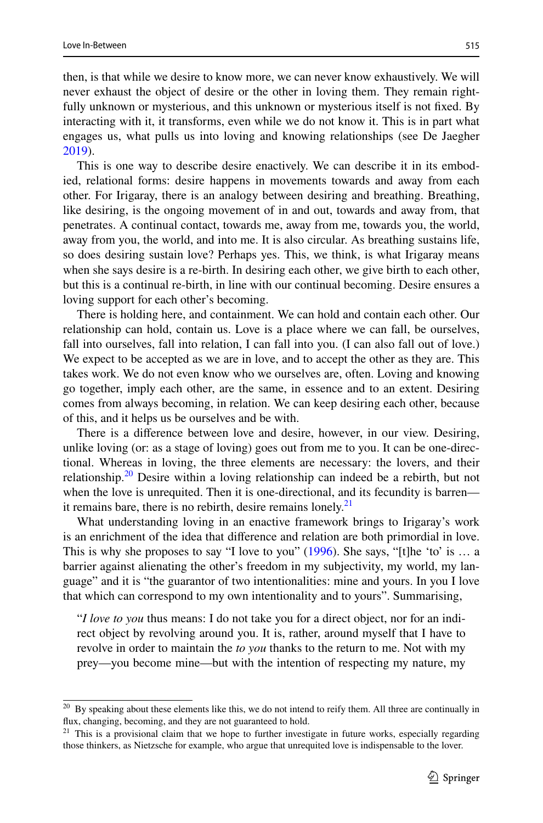then, is that while we desire to know more, we can never know exhaustively. We will never exhaust the object of desire or the other in loving them. They remain rightfully unknown or mysterious, and this unknown or mysterious itself is not fxed. By interacting with it, it transforms, even while we do not know it. This is in part what engages us, what pulls us into loving and knowing relationships (see De Jaegher [2019](#page-20-2)).

This is one way to describe desire enactively. We can describe it in its embodied, relational forms: desire happens in movements towards and away from each other. For Irigaray, there is an analogy between desiring and breathing. Breathing, like desiring, is the ongoing movement of in and out, towards and away from, that penetrates. A continual contact, towards me, away from me, towards you, the world, away from you, the world, and into me. It is also circular. As breathing sustains life, so does desiring sustain love? Perhaps yes. This, we think, is what Irigaray means when she says desire is a re-birth. In desiring each other, we give birth to each other, but this is a continual re-birth, in line with our continual becoming. Desire ensures a loving support for each other's becoming.

There is holding here, and containment. We can hold and contain each other. Our relationship can hold, contain us. Love is a place where we can fall, be ourselves, fall into ourselves, fall into relation, I can fall into you. (I can also fall out of love.) We expect to be accepted as we are in love, and to accept the other as they are. This takes work. We do not even know who we ourselves are, often. Loving and knowing go together, imply each other, are the same, in essence and to an extent. Desiring comes from always becoming, in relation. We can keep desiring each other, because of this, and it helps us be ourselves and be with.

There is a diference between love and desire, however, in our view. Desiring, unlike loving (or: as a stage of loving) goes out from me to you. It can be one-directional. Whereas in loving, the three elements are necessary: the lovers, and their relationship.<sup>20</sup> Desire within a loving relationship can indeed be a rebirth, but not when the love is unrequited. Then it is one-directional, and its fecundity is barren it remains bare, there is no rebirth, desire remains lonely. $2<sup>1</sup>$ 

What understanding loving in an enactive framework brings to Irigaray's work is an enrichment of the idea that diference and relation are both primordial in love. This is why she proposes to say "I love to you" [\(1996](#page-21-0)). She says, "[t]he 'to' is  $\dots$  a barrier against alienating the other's freedom in my subjectivity, my world, my language" and it is "the guarantor of two intentionalities: mine and yours. In you I love that which can correspond to my own intentionality and to yours". Summarising,

"*I love to you* thus means: I do not take you for a direct object, nor for an indirect object by revolving around you. It is, rather, around myself that I have to revolve in order to maintain the *to you* thanks to the return to me. Not with my prey—you become mine—but with the intention of respecting my nature, my

<span id="page-14-0"></span><sup>&</sup>lt;sup>20</sup> By speaking about these elements like this, we do not intend to reify them. All three are continually in flux, changing, becoming, and they are not guaranteed to hold.

<span id="page-14-1"></span> $21$  This is a provisional claim that we hope to further investigate in future works, especially regarding those thinkers, as Nietzsche for example, who argue that unrequited love is indispensable to the lover.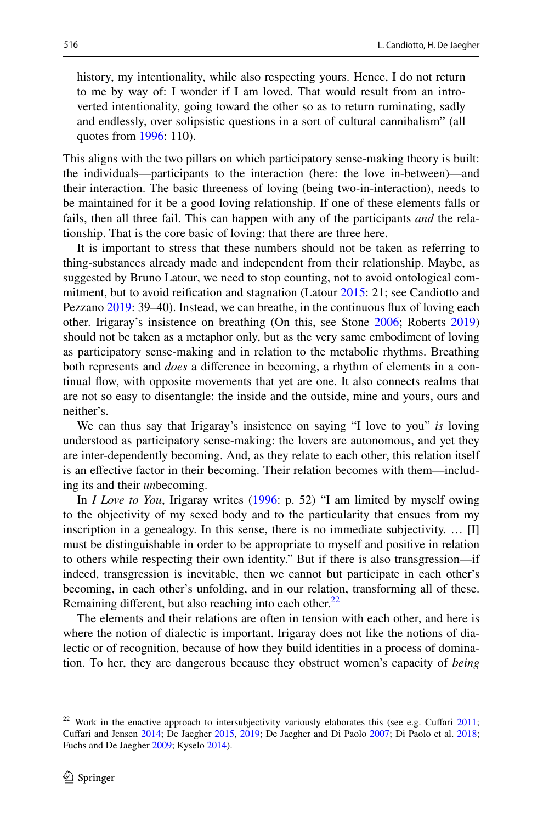history, my intentionality, while also respecting yours. Hence, I do not return to me by way of: I wonder if I am loved. That would result from an introverted intentionality, going toward the other so as to return ruminating, sadly and endlessly, over solipsistic questions in a sort of cultural cannibalism" (all quotes from [1996:](#page-21-0) 110).

This aligns with the two pillars on which participatory sense-making theory is built: the individuals—participants to the interaction (here: the love in-between)—and their interaction. The basic threeness of loving (being two-in-interaction), needs to be maintained for it be a good loving relationship. If one of these elements falls or fails, then all three fail. This can happen with any of the participants *and* the relationship. That is the core basic of loving: that there are three here.

It is important to stress that these numbers should not be taken as referring to thing-substances already made and independent from their relationship. Maybe, as suggested by Bruno Latour, we need to stop counting, not to avoid ontological commitment, but to avoid reifcation and stagnation (Latour [2015:](#page-22-26) 21; see Candiotto and Pezzano [2019:](#page-20-23) 39–40). Instead, we can breathe, in the continuous flux of loving each other. Irigaray's insistence on breathing (On this, see Stone [2006](#page-22-20); Roberts [2019](#page-22-17)) should not be taken as a metaphor only, but as the very same embodiment of loving as participatory sense-making and in relation to the metabolic rhythms. Breathing both represents and *does* a diference in becoming, a rhythm of elements in a continual fow, with opposite movements that yet are one. It also connects realms that are not so easy to disentangle: the inside and the outside, mine and yours, ours and neither's.

We can thus say that Irigaray's insistence on saying "I love to you" *is* loving understood as participatory sense-making: the lovers are autonomous, and yet they are inter-dependently becoming. And, as they relate to each other, this relation itself is an efective factor in their becoming. Their relation becomes with them—including its and their *un*becoming.

In *I Love to You*, Irigaray writes [\(1996](#page-21-0): p. 52) "I am limited by myself owing to the objectivity of my sexed body and to the particularity that ensues from my inscription in a genealogy. In this sense, there is no immediate subjectivity. … [I] must be distinguishable in order to be appropriate to myself and positive in relation to others while respecting their own identity." But if there is also transgression—if indeed, transgression is inevitable, then we cannot but participate in each other's becoming, in each other's unfolding, and in our relation, transforming all of these. Remaining different, but also reaching into each other. $^{22}$  $^{22}$  $^{22}$ 

The elements and their relations are often in tension with each other, and here is where the notion of dialectic is important. Irigaray does not like the notions of dialectic or of recognition, because of how they build identities in a process of domination. To her, they are dangerous because they obstruct women's capacity of *being*

<span id="page-15-0"></span> $22$  Work in the enactive approach to intersubjectivity variously elaborates this (see e.g. Cuffari [2011](#page-20-24); Cufari and Jensen [2014](#page-20-8); De Jaegher [2015,](#page-20-18) [2019](#page-20-2); De Jaegher and Di Paolo [2007](#page-20-3); Di Paolo et al. [2018](#page-21-2); Fuchs and De Jaegher [2009](#page-21-6); Kyselo [2014\)](#page-22-27).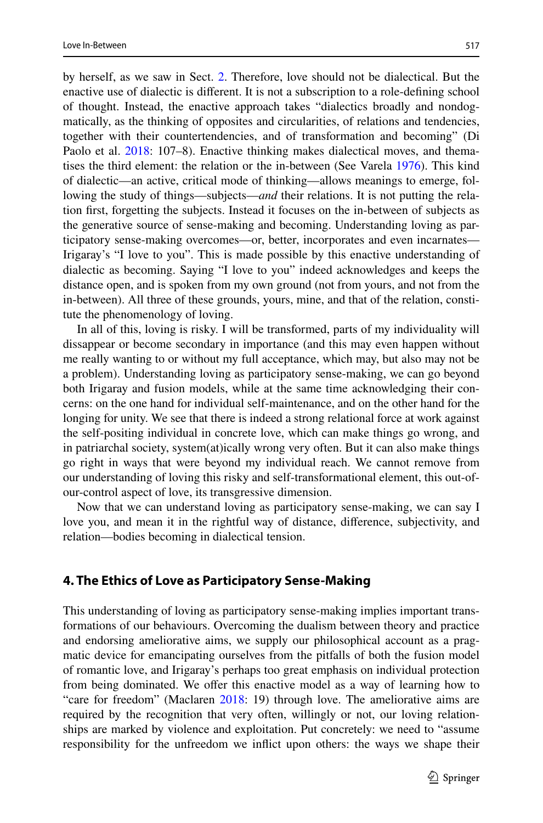by herself, as we saw in Sect. [2.](#page-3-1) Therefore, love should not be dialectical. But the enactive use of dialectic is diferent. It is not a subscription to a role-defning school of thought. Instead, the enactive approach takes "dialectics broadly and nondogmatically, as the thinking of opposites and circularities, of relations and tendencies, together with their countertendencies, and of transformation and becoming" (Di Paolo et al. [2018](#page-21-2): 107–8). Enactive thinking makes dialectical moves, and thematises the third element: the relation or the in-between (See Varela [1976\)](#page-22-28). This kind of dialectic—an active, critical mode of thinking—allows meanings to emerge, following the study of things—subjects—*and* their relations. It is not putting the relation frst, forgetting the subjects. Instead it focuses on the in-between of subjects as the generative source of sense-making and becoming. Understanding loving as participatory sense-making overcomes—or, better, incorporates and even incarnates— Irigaray's "I love to you". This is made possible by this enactive understanding of dialectic as becoming. Saying "I love to you" indeed acknowledges and keeps the distance open, and is spoken from my own ground (not from yours, and not from the in-between). All three of these grounds, yours, mine, and that of the relation, constitute the phenomenology of loving.

In all of this, loving is risky. I will be transformed, parts of my individuality will dissappear or become secondary in importance (and this may even happen without me really wanting to or without my full acceptance, which may, but also may not be a problem). Understanding loving as participatory sense-making, we can go beyond both Irigaray and fusion models, while at the same time acknowledging their concerns: on the one hand for individual self-maintenance, and on the other hand for the longing for unity. We see that there is indeed a strong relational force at work against the self-positing individual in concrete love, which can make things go wrong, and in patriarchal society, system(at)ically wrong very often. But it can also make things go right in ways that were beyond my individual reach. We cannot remove from our understanding of loving this risky and self-transformational element, this out-ofour-control aspect of love, its transgressive dimension.

Now that we can understand loving as participatory sense-making, we can say I love you, and mean it in the rightful way of distance, diference, subjectivity, and relation—bodies becoming in dialectical tension.

#### **4. The Ethics of Love as Participatory Sense‑Making**

This understanding of loving as participatory sense-making implies important transformations of our behaviours. Overcoming the dualism between theory and practice and endorsing ameliorative aims, we supply our philosophical account as a pragmatic device for emancipating ourselves from the pitfalls of both the fusion model of romantic love, and Irigaray's perhaps too great emphasis on individual protection from being dominated. We offer this enactive model as a way of learning how to "care for freedom" (Maclaren [2018:](#page-22-4) 19) through love. The ameliorative aims are required by the recognition that very often, willingly or not, our loving relationships are marked by violence and exploitation. Put concretely: we need to "assume responsibility for the unfreedom we infict upon others: the ways we shape their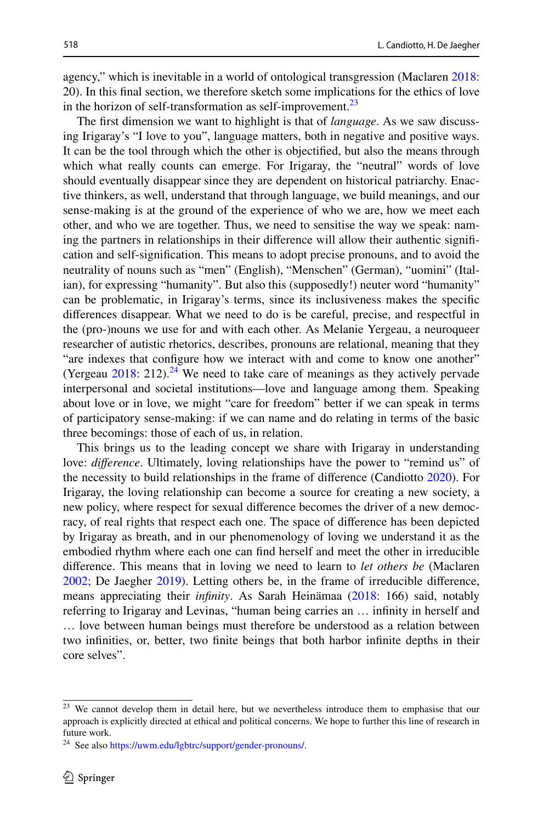agency," which is inevitable in a world of ontological transgression (Maclaren [2018:](#page-22-4) 20). In this fnal section, we therefore sketch some implications for the ethics of love in the horizon of self-transformation as self-improvement.<sup>23</sup>

The frst dimension we want to highlight is that of *language*. As we saw discussing Irigaray's "I love to you", language matters, both in negative and positive ways. It can be the tool through which the other is objectifed, but also the means through which what really counts can emerge. For Irigaray, the "neutral" words of love should eventually disappear since they are dependent on historical patriarchy. Enactive thinkers, as well, understand that through language, we build meanings, and our sense-making is at the ground of the experience of who we are, how we meet each other, and who we are together. Thus, we need to sensitise the way we speak: naming the partners in relationships in their diference will allow their authentic signifcation and self-signifcation. This means to adopt precise pronouns, and to avoid the neutrality of nouns such as "men" (English), "Menschen" (German), "uomini" (Italian), for expressing "humanity". But also this (supposedly!) neuter word "humanity" can be problematic, in Irigaray's terms, since its inclusiveness makes the specifc diferences disappear. What we need to do is be careful, precise, and respectful in the (pro-)nouns we use for and with each other. As Melanie Yergeau, a neuroqueer researcher of autistic rhetorics, describes, pronouns are relational, meaning that they "are indexes that configure how we interact with and come to know one another" (Yergeau  $2018: 212$  $2018: 212$ ).<sup>24</sup> We need to take care of meanings as they actively pervade interpersonal and societal institutions—love and language among them. Speaking about love or in love, we might "care for freedom" better if we can speak in terms of participatory sense-making: if we can name and do relating in terms of the basic three becomings: those of each of us, in relation.

This brings us to the leading concept we share with Irigaray in understanding love: *difference*. Ultimately, loving relationships have the power to "remind us" of the necessity to build relationships in the frame of diference (Candiotto [2020\)](#page-20-25). For Irigaray, the loving relationship can become a source for creating a new society, a new policy, where respect for sexual diference becomes the driver of a new democracy, of real rights that respect each one. The space of diference has been depicted by Irigaray as breath, and in our phenomenology of loving we understand it as the embodied rhythm where each one can fnd herself and meet the other in irreducible diference. This means that in loving we need to learn to *let others be* (Maclaren [2002](#page-22-29); De Jaegher [2019\)](#page-20-2). Letting others be, in the frame of irreducible diference, means appreciating their *infnity*. As Sarah Heinämaa ([2018:](#page-21-18) 166) said, notably referring to Irigaray and Levinas, "human being carries an … infnity in herself and … love between human beings must therefore be understood as a relation between two infnities, or, better, two fnite beings that both harbor infnite depths in their core selves".

<span id="page-17-0"></span><sup>&</sup>lt;sup>23</sup> We cannot develop them in detail here, but we nevertheless introduce them to emphasise that our approach is explicitly directed at ethical and political concerns. We hope to further this line of research in future work.

<span id="page-17-1"></span><sup>&</sup>lt;sup>24</sup> See also<https://uwm.edu/lgbtrc/support/gender-pronouns/>.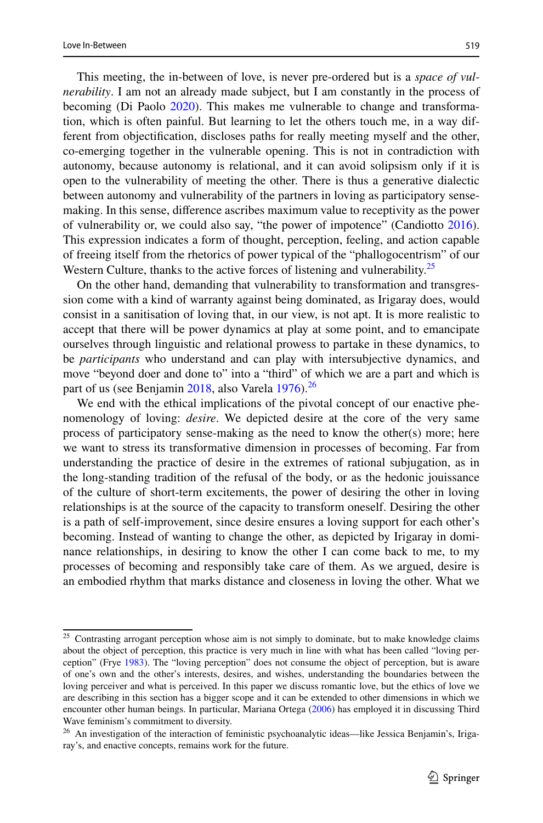This meeting, the in-between of love, is never pre-ordered but is a *space of vulnerability*. I am not an already made subject, but I am constantly in the process of becoming (Di Paolo [2020\)](#page-21-5). This makes me vulnerable to change and transformation, which is often painful. But learning to let the others touch me, in a way different from objectifcation, discloses paths for really meeting myself and the other, co-emerging together in the vulnerable opening. This is not in contradiction with autonomy, because autonomy is relational, and it can avoid solipsism only if it is open to the vulnerability of meeting the other. There is thus a generative dialectic between autonomy and vulnerability of the partners in loving as participatory sensemaking. In this sense, diference ascribes maximum value to receptivity as the power of vulnerability or, we could also say, "the power of impotence" (Candiotto [2016\)](#page-20-26). This expression indicates a form of thought, perception, feeling, and action capable of freeing itself from the rhetorics of power typical of the "phallogocentrism" of our Western Culture, thanks to the active forces of listening and vulnerability.<sup>[25](#page-18-0)</sup>

On the other hand, demanding that vulnerability to transformation and transgression come with a kind of warranty against being dominated, as Irigaray does, would consist in a sanitisation of loving that, in our view, is not apt. It is more realistic to accept that there will be power dynamics at play at some point, and to emancipate ourselves through linguistic and relational prowess to partake in these dynamics, to be *participants* who understand and can play with intersubjective dynamics, and move "beyond doer and done to" into a "third" of which we are a part and which is part of us (see Benjamin [2018,](#page-20-27) also Varela [1976](#page-22-28)).<sup>[26](#page-18-1)</sup>

We end with the ethical implications of the pivotal concept of our enactive phenomenology of loving: *desire*. We depicted desire at the core of the very same process of participatory sense-making as the need to know the other(s) more; here we want to stress its transformative dimension in processes of becoming. Far from understanding the practice of desire in the extremes of rational subjugation, as in the long-standing tradition of the refusal of the body, or as the hedonic jouissance of the culture of short-term excitements, the power of desiring the other in loving relationships is at the source of the capacity to transform oneself. Desiring the other is a path of self-improvement, since desire ensures a loving support for each other's becoming. Instead of wanting to change the other, as depicted by Irigaray in dominance relationships, in desiring to know the other I can come back to me, to my processes of becoming and responsibly take care of them. As we argued, desire is an embodied rhythm that marks distance and closeness in loving the other. What we

<span id="page-18-0"></span><sup>&</sup>lt;sup>25</sup> Contrasting arrogant perception whose aim is not simply to dominate, but to make knowledge claims about the object of perception, this practice is very much in line with what has been called "loving perception" (Frye [1983\)](#page-21-34). The "loving perception" does not consume the object of perception, but is aware of one's own and the other's interests, desires, and wishes, understanding the boundaries between the loving perceiver and what is perceived. In this paper we discuss romantic love, but the ethics of love we are describing in this section has a bigger scope and it can be extended to other dimensions in which we encounter other human beings. In particular, Mariana Ortega [\(2006](#page-22-18)) has employed it in discussing Third Wave feminism's commitment to diversity.

<span id="page-18-1"></span><sup>&</sup>lt;sup>26</sup> An investigation of the interaction of feministic psychoanalytic ideas—like Jessica Benjamin's, Irigaray's, and enactive concepts, remains work for the future.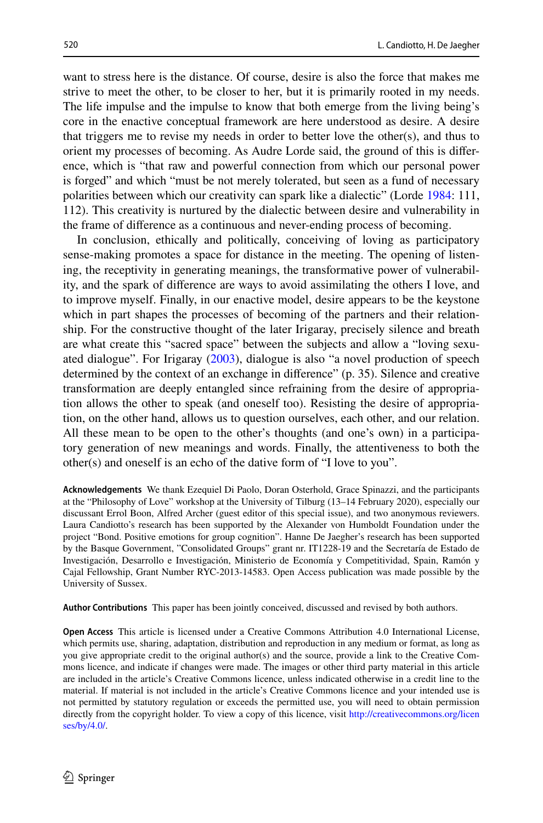want to stress here is the distance. Of course, desire is also the force that makes me strive to meet the other, to be closer to her, but it is primarily rooted in my needs. The life impulse and the impulse to know that both emerge from the living being's core in the enactive conceptual framework are here understood as desire. A desire that triggers me to revise my needs in order to better love the other(s), and thus to orient my processes of becoming. As Audre Lorde said, the ground of this is diference, which is "that raw and powerful connection from which our personal power is forged" and which "must be not merely tolerated, but seen as a fund of necessary polarities between which our creativity can spark like a dialectic" (Lorde [1984](#page-22-30): 111, 112). This creativity is nurtured by the dialectic between desire and vulnerability in the frame of diference as a continuous and never-ending process of becoming.

In conclusion, ethically and politically, conceiving of loving as participatory sense-making promotes a space for distance in the meeting. The opening of listening, the receptivity in generating meanings, the transformative power of vulnerability, and the spark of diference are ways to avoid assimilating the others I love, and to improve myself. Finally, in our enactive model, desire appears to be the keystone which in part shapes the processes of becoming of the partners and their relationship. For the constructive thought of the later Irigaray, precisely silence and breath are what create this "sacred space" between the subjects and allow a "loving sexuated dialogue". For Irigaray [\(2003](#page-21-15)), dialogue is also "a novel production of speech determined by the context of an exchange in diference" (p. 35). Silence and creative transformation are deeply entangled since refraining from the desire of appropriation allows the other to speak (and oneself too). Resisting the desire of appropriation, on the other hand, allows us to question ourselves, each other, and our relation. All these mean to be open to the other's thoughts (and one's own) in a participatory generation of new meanings and words. Finally, the attentiveness to both the other(s) and oneself is an echo of the dative form of "I love to you".

**Acknowledgements** We thank Ezequiel Di Paolo, Doran Osterhold, Grace Spinazzi, and the participants at the "Philosophy of Love" workshop at the University of Tilburg (13–14 February 2020), especially our discussant Errol Boon, Alfred Archer (guest editor of this special issue), and two anonymous reviewers. Laura Candiotto's research has been supported by the Alexander von Humboldt Foundation under the project "Bond. Positive emotions for group cognition". Hanne De Jaegher's research has been supported by the Basque Government, "Consolidated Groups" grant nr. IT1228-19 and the Secretaría de Estado de Investigación, Desarrollo e Investigación, Ministerio de Economía y Competitividad, Spain, Ramón y Cajal Fellowship, Grant Number RYC-2013-14583. Open Access publication was made possible by the University of Sussex.

**Author Contributions** This paper has been jointly conceived, discussed and revised by both authors.

**Open Access** This article is licensed under a Creative Commons Attribution 4.0 International License, which permits use, sharing, adaptation, distribution and reproduction in any medium or format, as long as you give appropriate credit to the original author(s) and the source, provide a link to the Creative Commons licence, and indicate if changes were made. The images or other third party material in this article are included in the article's Creative Commons licence, unless indicated otherwise in a credit line to the material. If material is not included in the article's Creative Commons licence and your intended use is not permitted by statutory regulation or exceeds the permitted use, you will need to obtain permission directly from the copyright holder. To view a copy of this licence, visit [http://creativecommons.org/licen](http://creativecommons.org/licenses/by/4.0/) [ses/by/4.0/](http://creativecommons.org/licenses/by/4.0/).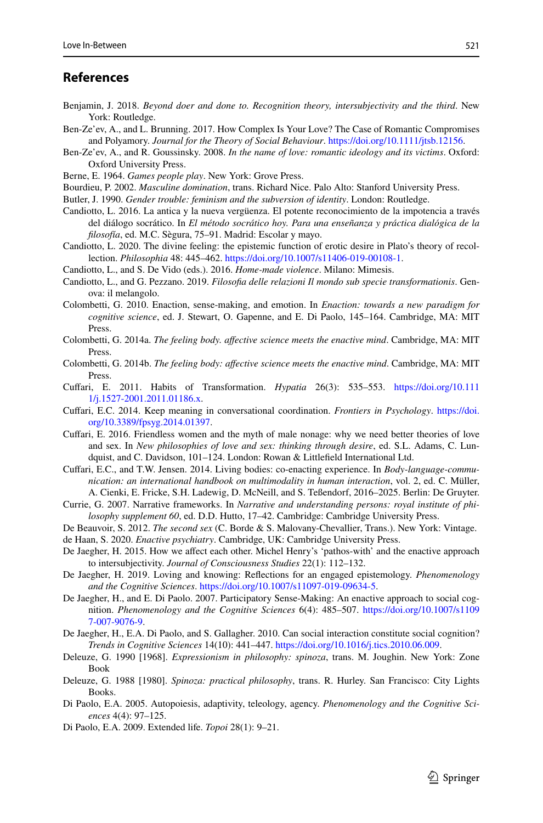#### **References**

- <span id="page-20-27"></span>Benjamin, J. 2018. *Beyond doer and done to. Recognition theory, intersubjectivity and the third*. New York: Routledge.
- <span id="page-20-20"></span>Ben-Ze'ev, A., and L. Brunning. 2017. How Complex Is Your Love? The Case of Romantic Compromises and Polyamory. *Journal for the Theory of Social Behaviour*. [https://doi.org/10.1111/jtsb.12156.](https://doi.org/10.1111/jtsb.12156)
- <span id="page-20-12"></span>Ben-Ze'ev, A., and R. Goussinsky. 2008. *In the name of love: romantic ideology and its victims*. Oxford: Oxford University Press.
- <span id="page-20-22"></span>Berne, E. 1964. *Games people play*. New York: Grove Press.
- <span id="page-20-10"></span>Bourdieu, P. 2002. *Masculine domination*, trans. Richard Nice. Palo Alto: Stanford University Press.
- <span id="page-20-14"></span>Butler, J. 1990. *Gender trouble: feminism and the subversion of identity*. London: Routledge.
- <span id="page-20-26"></span>Candiotto, L. 2016. La antica y la nueva vergüenza. El potente reconocimiento de la impotencia a través del diálogo socrático. In *El método socrático hoy. Para una enseñanza y práctica dialógica de la flosofía*, ed. M.C. Sègura, 75–91. Madrid: Escolar y mayo.
- <span id="page-20-25"></span>Candiotto, L. 2020. The divine feeling: the epistemic function of erotic desire in Plato's theory of recollection. *Philosophia* 48: 445–462. [https://doi.org/10.1007/s11406-019-00108-1.](https://doi.org/10.1007/s11406-019-00108-1)
- <span id="page-20-13"></span>Candiotto, L., and S. De Vido (eds.). 2016. *Home-made violence*. Milano: Mimesis.
- <span id="page-20-23"></span>Candiotto, L., and G. Pezzano. 2019. *Filosofa delle relazioni Il mondo sub specie transformationis*. Genova: il melangolo.
- <span id="page-20-15"></span>Colombetti, G. 2010. Enaction, sense-making, and emotion. In *Enaction: towards a new paradigm for cognitive science*, ed. J. Stewart, O. Gapenne, and E. Di Paolo, 145–164. Cambridge, MA: MIT Press.
- <span id="page-20-0"></span>Colombetti, G. 2014a. *The feeling body. afective science meets the enactive mind*. Cambridge, MA: MIT Press.
- <span id="page-20-1"></span>Colombetti, G. 2014b. *The feeling body: afective science meets the enactive mind*. Cambridge, MA: MIT **Press**.
- <span id="page-20-24"></span>Cufari, E. 2011. Habits of Transformation. *Hypatia* 26(3): 535–553. [https://doi.org/10.111](https://doi.org/10.1111/j.1527-2001.2011.01186.x) [1/j.1527-2001.2011.01186.x.](https://doi.org/10.1111/j.1527-2001.2011.01186.x)
- <span id="page-20-7"></span>Cufari, E.C. 2014. Keep meaning in conversational coordination. *Frontiers in Psychology*. [https://doi.](https://doi.org/10.3389/fpsyg.2014.01397) [org/10.3389/fpsyg.2014.01397](https://doi.org/10.3389/fpsyg.2014.01397).
- <span id="page-20-11"></span>Cufari, E. 2016. Friendless women and the myth of male nonage: why we need better theories of love and sex. In *New philosophies of love and sex: thinking through desire*, ed. S.L. Adams, C. Lundquist, and C. Davidson, 101–124. London: Rowan & Littlefeld International Ltd.
- <span id="page-20-8"></span>Cufari, E.C., and T.W. Jensen. 2014. Living bodies: co-enacting experience. In *Body-language-communication: an international handbook on multimodality in human interaction*, vol. 2, ed. C. Müller, A. Cienki, E. Fricke, S.H. Ladewig, D. McNeill, and S. Teßendorf, 2016–2025. Berlin: De Gruyter.
- <span id="page-20-21"></span>Currie, G. 2007. Narrative frameworks. In *Narrative and understanding persons: royal institute of philosophy supplement 60*, ed. D.D. Hutto, 17–42. Cambridge: Cambridge University Press.
- <span id="page-20-19"></span><span id="page-20-9"></span>De Beauvoir, S. 2012. *The second sex* (C. Borde & S. Malovany-Chevallier, Trans.). New York: Vintage. de Haan, S. 2020. *Enactive psychiatry*. Cambridge, UK: Cambridge University Press.
- <span id="page-20-18"></span>De Jaegher, H. 2015. How we afect each other. Michel Henry's 'pathos-with' and the enactive approach to intersubjectivity. *Journal of Consciousness Studies* 22(1): 112–132.
- <span id="page-20-2"></span>De Jaegher, H. 2019. Loving and knowing: Refections for an engaged epistemology. *Phenomenology and the Cognitive Sciences*. <https://doi.org/10.1007/s11097-019-09634-5>.
- <span id="page-20-3"></span>De Jaegher, H., and E. Di Paolo. 2007. Participatory Sense-Making: An enactive approach to social cognition. *Phenomenology and the Cognitive Sciences* 6(4): 485–507. [https://doi.org/10.1007/s1109](https://doi.org/10.1007/s11097-007-9076-9) [7-007-9076-9.](https://doi.org/10.1007/s11097-007-9076-9)
- <span id="page-20-4"></span>De Jaegher, H., E.A. Di Paolo, and S. Gallagher. 2010. Can social interaction constitute social cognition? *Trends in Cognitive Sciences* 14(10): 441–447. [https://doi.org/10.1016/j.tics.2010.06.009.](https://doi.org/10.1016/j.tics.2010.06.009)
- <span id="page-20-17"></span>Deleuze, G. 1990 [1968]. *Expressionism in philosophy: spinoza*, trans. M. Joughin. New York: Zone Book
- <span id="page-20-16"></span>Deleuze, G. 1988 [1980]. *Spinoza: practical philosophy*, trans. R. Hurley. San Francisco: City Lights Books.
- <span id="page-20-5"></span>Di Paolo, E.A. 2005. Autopoiesis, adaptivity, teleology, agency. *Phenomenology and the Cognitive Sciences* 4(4): 97–125.
- <span id="page-20-6"></span>Di Paolo, E.A. 2009. Extended life. *Topoi* 28(1): 9–21.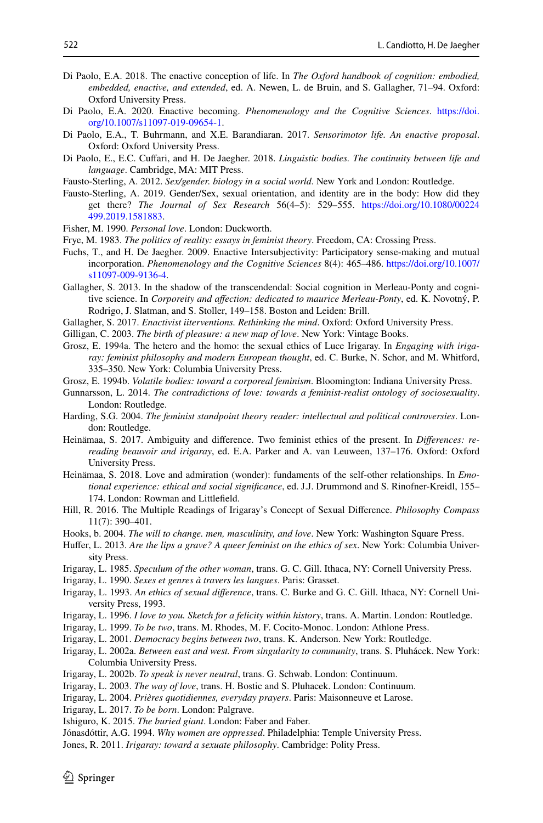- <span id="page-21-4"></span>Di Paolo, E.A. 2018. The enactive conception of life. In *The Oxford handbook of cognition: embodied, embedded, enactive, and extended*, ed. A. Newen, L. de Bruin, and S. Gallagher, 71–94. Oxford: Oxford University Press.
- <span id="page-21-5"></span>Di Paolo, E.A. 2020. Enactive becoming. *Phenomenology and the Cognitive Sciences*. [https://doi.](https://doi.org/10.1007/s11097-019-09654-1) [org/10.1007/s11097-019-09654-1.](https://doi.org/10.1007/s11097-019-09654-1)
- <span id="page-21-1"></span>Di Paolo, E.A., T. Buhrmann, and X.E. Barandiaran. 2017. *Sensorimotor life. An enactive proposal*. Oxford: Oxford University Press.
- <span id="page-21-2"></span>Di Paolo, E., E.C. Cufari, and H. De Jaegher. 2018. *Linguistic bodies. The continuity between life and language*. Cambridge, MA: MIT Press.
- <span id="page-21-31"></span>Fausto-Sterling, A. 2012. *Sex/gender. biology in a social world*. New York and London: Routledge.
- <span id="page-21-32"></span>Fausto-Sterling, A. 2019. Gender/Sex, sexual orientation, and identity are in the body: How did they get there? *The Journal of Sex Research* 56(4–5): 529–555. [https://doi.org/10.1080/00224](https://doi.org/10.1080/00224499.2019.1581883) [499.2019.1581883.](https://doi.org/10.1080/00224499.2019.1581883)
- <span id="page-21-17"></span>Fisher, M. 1990. *Personal love*. London: Duckworth.
- <span id="page-21-34"></span>Frye, M. 1983. *The politics of reality: essays in feminist theory*. Freedom, CA: Crossing Press.
- <span id="page-21-6"></span>Fuchs, T., and H. De Jaegher. 2009. Enactive Intersubjectivity: Participatory sense-making and mutual incorporation. *Phenomenology and the Cognitive Sciences* 8(4): 465–486. [https://doi.org/10.1007/](https://doi.org/10.1007/s11097-009-9136-4) [s11097-009-9136-4.](https://doi.org/10.1007/s11097-009-9136-4)
- <span id="page-21-7"></span>Gallagher, S. 2013. In the shadow of the transcendendal: Social cognition in Merleau-Ponty and cognitive science. In *Corporeity and afection: dedicated to maurice Merleau-Ponty*, ed. K. Novotný, P. Rodrigo, J. Slatman, and S. Stoller, 149–158. Boston and Leiden: Brill.
- <span id="page-21-3"></span>Gallagher, S. 2017. *Enactivist iiterventions. Rethinking the mind*. Oxford: Oxford University Press.
- <span id="page-21-20"></span>Gilligan, C. 2003. *The birth of pleasure: a new map of love*. New York: Vintage Books.
- <span id="page-21-24"></span>Grosz, E. 1994a. The hetero and the homo: the sexual ethics of Luce Irigaray. In *Engaging with irigaray: feminist philosophy and modern European thought*, ed. C. Burke, N. Schor, and M. Whitford, 335–350. New York: Columbia University Press.
- <span id="page-21-25"></span>Grosz, E. 1994b. *Volatile bodies: toward a corporeal feminism*. Bloomington: Indiana University Press.
- <span id="page-21-22"></span>Gunnarsson, L. 2014. *The contradictions of love: towards a feminist-realist ontology of sociosexuality*. London: Routledge.
- <span id="page-21-8"></span>Harding, S.G. 2004. *The feminist standpoint theory reader: intellectual and political controversies*. London: Routledge.
- <span id="page-21-28"></span>Heinämaa, S. 2017. Ambiguity and diference. Two feminist ethics of the present. In *Diferences: rereading beauvoir and irigaray*, ed. E.A. Parker and A. van Leuween, 137–176. Oxford: Oxford University Press.
- <span id="page-21-18"></span>Heinämaa, S. 2018. Love and admiration (wonder): fundaments of the self-other relationships. In *Emotional experience: ethical and social signifcance*, ed. J.J. Drummond and S. Rinofner-Kreidl, 155– 174. London: Rowman and Littlefeld.
- <span id="page-21-23"></span>Hill, R. 2016. The Multiple Readings of Irigaray's Concept of Sexual Diference. *Philosophy Compass* 11(7): 390–401.
- <span id="page-21-21"></span>Hooks, b. 2004. *The will to change. men, masculinity, and love*. New York: Washington Square Press.
- <span id="page-21-26"></span>Hufer, L. 2013. *Are the lips a grave? A queer feminist on the ethics of sex*. New York: Columbia University Press.
- <span id="page-21-11"></span>Irigaray, L. 1985. *Speculum of the other woman*, trans. G. C. Gill. Ithaca, NY: Cornell University Press.
- <span id="page-21-29"></span>Irigaray, L. 1990. *Sexes et genres à travers les langues*. Paris: Grasset.
- <span id="page-21-19"></span>Irigaray, L. 1993. *An ethics of sexual diference*, trans. C. Burke and G. C. Gill. Ithaca, NY: Cornell University Press, 1993.
- <span id="page-21-0"></span>Irigaray, L. 1996. *I love to you. Sketch for a felicity within history*, trans. A. Martin. London: Routledge.
- <span id="page-21-14"></span>Irigaray, L. 1999. *To be two*, trans. M. Rhodes, M. F. Cocito-Monoc. London: Athlone Press.
- <span id="page-21-12"></span>Irigaray, L. 2001. *Democracy begins between two*, trans. K. Anderson. New York: Routledge.
- <span id="page-21-10"></span>Irigaray, L. 2002a. *Between east and west. From singularity to community*, trans. S. Pluhácek. New York: Columbia University Press.
- <span id="page-21-13"></span>Irigaray, L. 2002b. *To speak is never neutral*, trans. G. Schwab. London: Continuum.
- <span id="page-21-15"></span>Irigaray, L. 2003. *The way of love*, trans. H. Bostic and S. Pluhacek. London: Continuum.
- <span id="page-21-27"></span>Irigaray, L. 2004. *Prières quotidiennes, everyday prayers*. Paris: Maisonneuve et Larose.

<span id="page-21-9"></span>Irigaray, L. 2017. *To be born*. London: Palgrave.

- <span id="page-21-33"></span>Ishiguro, K. 2015. *The buried giant*. London: Faber and Faber.
- <span id="page-21-16"></span>Jónasdóttir, A.G. 1994. *Why women are oppressed*. Philadelphia: Temple University Press.
- <span id="page-21-30"></span>Jones, R. 2011. *Irigaray: toward a sexuate philosophy*. Cambridge: Polity Press.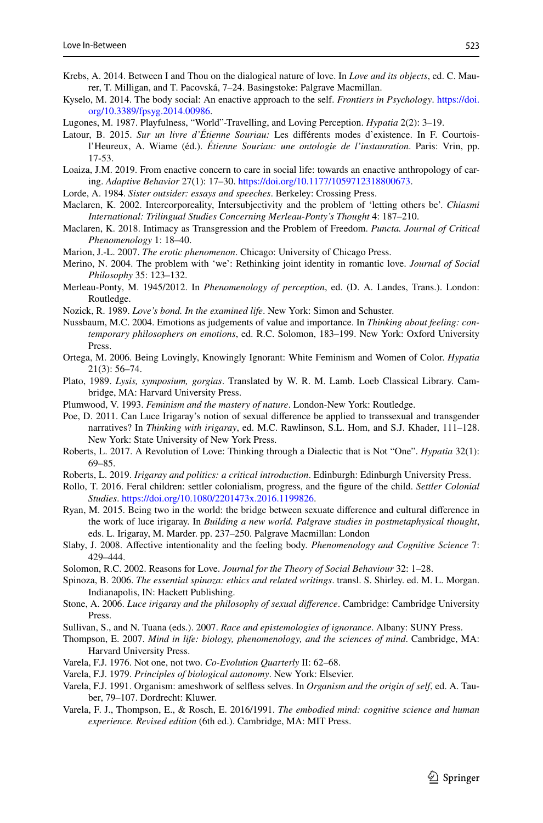- <span id="page-22-12"></span>Krebs, A. 2014. Between I and Thou on the dialogical nature of love. In *Love and its objects*, ed. C. Maurer, T. Milligan, and T. Pacovská, 7–24. Basingstoke: Palgrave Macmillan.
- <span id="page-22-27"></span>Kyselo, M. 2014. The body social: An enactive approach to the self. *Frontiers in Psychology*. [https://doi.](https://doi.org/10.3389/fpsyg.2014.00986) [org/10.3389/fpsyg.2014.00986](https://doi.org/10.3389/fpsyg.2014.00986).
- <span id="page-22-8"></span>Lugones, M. 1987. Playfulness, "World"-Travelling, and Loving Perception. *Hypatia* 2(2): 3–19.
- <span id="page-22-26"></span>Latour, B. 2015. *Sur un livre d'Étienne Souriau:* Les diférents modes d'existence. In F. Courtoisl'Heureux, A. Wiame (éd.). *Étienne Souriau: une ontologie de l'instauration*. Paris: Vrin, pp. 17-53.
- <span id="page-22-6"></span>Loaiza, J.M. 2019. From enactive concern to care in social life: towards an enactive anthropology of caring. *Adaptive Behavior* 27(1): 17–30. <https://doi.org/10.1177/1059712318800673>.
- <span id="page-22-30"></span>Lorde, A. 1984. *Sister outsider: essays and speeches*. Berkeley: Crossing Press.
- <span id="page-22-29"></span>Maclaren, K. 2002. Intercorporeality, Intersubjectivity and the problem of 'letting others be'. *Chiasmi International: Trilingual Studies Concerning Merleau-Ponty's Thought* 4: 187–210.
- <span id="page-22-4"></span>Maclaren, K. 2018. Intimacy as Transgression and the Problem of Freedom. *Puncta. Journal of Critical Phenomenology* 1: 18–40.
- <span id="page-22-23"></span>Marion, J.-L. 2007. *The erotic phenomenon*. Chicago: University of Chicago Press.
- <span id="page-22-7"></span>Merino, N. 2004. The problem with 'we': Rethinking joint identity in romantic love. *Journal of Social Philosophy* 35: 123–132.
- <span id="page-22-24"></span>Merleau-Ponty, M. 1945/2012. In *Phenomenology of perception*, ed. (D. A. Landes, Trans.). London: Routledge.
- <span id="page-22-10"></span>Nozick, R. 1989. *Love's bond. In the examined life*. New York: Simon and Schuster.
- <span id="page-22-13"></span>Nussbaum, M.C. 2004. Emotions as judgements of value and importance. In *Thinking about feeling: contemporary philosophers on emotions*, ed. R.C. Solomon, 183–199. New York: Oxford University Press.
- <span id="page-22-18"></span>Ortega, M. 2006. Being Lovingly, Knowingly Ignorant: White Feminism and Women of Color. *Hypatia* 21(3): 56–74.
- <span id="page-22-25"></span>Plato, 1989. *Lysis, symposium, gorgias*. Translated by W. R. M. Lamb. Loeb Classical Library. Cambridge, MA: Harvard University Press.
- <span id="page-22-15"></span>Plumwood, V. 1993. *Feminism and the mastery of nature*. London-New York: Routledge.
- <span id="page-22-21"></span>Poe, D. 2011. Can Luce Irigaray's notion of sexual diference be applied to transsexual and transgender narratives? In *Thinking with irigaray*, ed. M.C. Rawlinson, S.L. Hom, and S.J. Khader, 111–128. New York: State University of New York Press.
- <span id="page-22-9"></span>Roberts, L. 2017. A Revolution of Love: Thinking through a Dialectic that is Not "One". *Hypatia* 32(1): 69–85.
- <span id="page-22-17"></span>Roberts, L. 2019. *Irigaray and politics: a critical introduction*. Edinburgh: Edinburgh University Press.
- <span id="page-22-19"></span>Rollo, T. 2016. Feral children: settler colonialism, progress, and the fgure of the child. *Settler Colonial Studies*. <https://doi.org/10.1080/2201473x.2016.1199826>.
- <span id="page-22-16"></span>Ryan, M. 2015. Being two in the world: the bridge between sexuate diference and cultural diference in the work of luce irigaray. In *Building a new world. Palgrave studies in postmetaphysical thought*, eds. L. Irigaray, M. Marder. pp. 237–250. Palgrave Macmillan: London
- <span id="page-22-14"></span>Slaby, J. 2008. Afective intentionality and the feeling body. *Phenomenology and Cognitive Science* 7: 429–444.
- <span id="page-22-11"></span>Solomon, R.C. 2002. Reasons for Love. *Journal for the Theory of Social Behaviour* 32: 1–28.
- <span id="page-22-22"></span>Spinoza, B. 2006. *The essential spinoza: ethics and related writings*. transl. S. Shirley. ed. M. L. Morgan. Indianapolis, IN: Hackett Publishing.
- <span id="page-22-20"></span>Stone, A. 2006. *Luce irigaray and the philosophy of sexual diference*. Cambridge: Cambridge University Press.
- <span id="page-22-5"></span>Sullivan, S., and N. Tuana (eds.). 2007. *Race and epistemologies of ignorance*. Albany: SUNY Press.
- <span id="page-22-0"></span>Thompson, E. 2007. *Mind in life: biology, phenomenology, and the sciences of mind*. Cambridge, MA: Harvard University Press.
- <span id="page-22-28"></span>Varela, F.J. 1976. Not one, not two. *Co-Evolution Quarterly* II: 62–68.
- <span id="page-22-2"></span>Varela, F.J. 1979. *Principles of biological autonomy*. New York: Elsevier.
- <span id="page-22-3"></span>Varela, F.J. 1991. Organism: ameshwork of selfess selves. In *Organism and the origin of self*, ed. A. Tauber, 79–107. Dordrecht: Kluwer.
- <span id="page-22-1"></span>Varela, F. J., Thompson, E., & Rosch, E. 2016/1991. *The embodied mind: cognitive science and human experience. Revised edition* (6th ed.). Cambridge, MA: MIT Press.